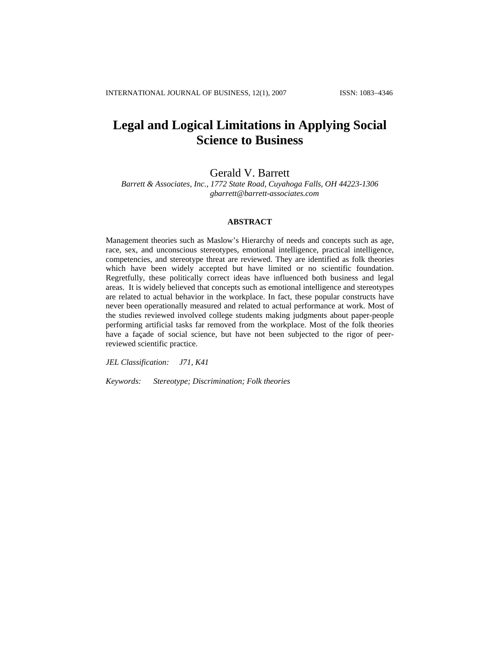# **Legal and Logical Limitations in Applying Social Science to Business**

Gerald V. Barrett

*Barrett & Associates, Inc., 1772 State Road, Cuyahoga Falls, OH 44223-1306 [gbarrett@barrett-associates.com](mailto:gbarrett@barrett-associates.com)*

#### **ABSTRACT**

Management theories such as Maslow's Hierarchy of needs and concepts such as age, race, sex, and unconscious stereotypes, emotional intelligence, practical intelligence, competencies, and stereotype threat are reviewed. They are identified as folk theories which have been widely accepted but have limited or no scientific foundation. Regretfully, these politically correct ideas have influenced both business and legal areas. It is widely believed that concepts such as emotional intelligence and stereotypes are related to actual behavior in the workplace. In fact, these popular constructs have never been operationally measured and related to actual performance at work. Most of the studies reviewed involved college students making judgments about paper-people performing artificial tasks far removed from the workplace. Most of the folk theories have a façade of social science, but have not been subjected to the rigor of peerreviewed scientific practice.

*JEL Classification: J71, K41* 

*Keywords: Stereotype; Discrimination; Folk theories*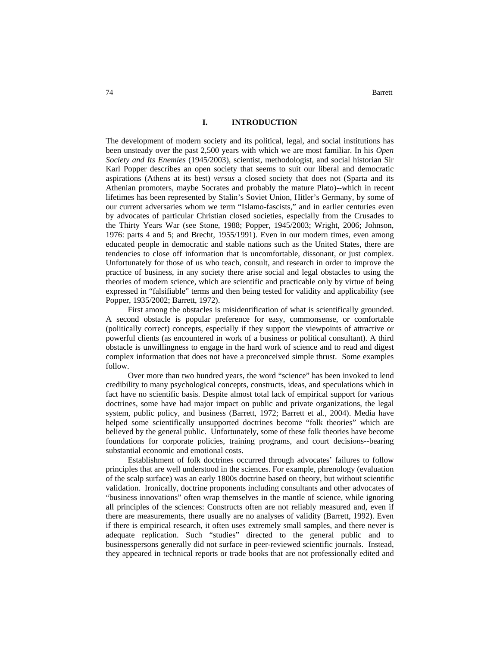#### **I. INTRODUCTION**

The development of modern society and its political, legal, and social institutions has been unsteady over the past 2,500 years with which we are most familiar. In his *Open Society and Its Enemies* (1945/2003), scientist, methodologist, and social historian Sir Karl Popper describes an open society that seems to suit our liberal and democratic aspirations (Athens at its best) *versus* a closed society that does not (Sparta and its Athenian promoters, maybe Socrates and probably the mature Plato)--which in recent lifetimes has been represented by Stalin's Soviet Union, Hitler's Germany, by some of our current adversaries whom we term "Islamo-fascists," and in earlier centuries even by advocates of particular Christian closed societies, especially from the Crusades to the Thirty Years War (see Stone, 1988; Popper, 1945/2003; Wright, 2006; Johnson, 1976: parts 4 and 5; and Brecht, 1955/1991). Even in our modern times, even among educated people in democratic and stable nations such as the United States, there are tendencies to close off information that is uncomfortable, dissonant, or just complex. Unfortunately for those of us who teach, consult, and research in order to improve the practice of business, in any society there arise social and legal obstacles to using the theories of modern science, which are scientific and practicable only by virtue of being expressed in "falsifiable" terms and then being tested for validity and applicability (see Popper, 1935/2002; Barrett, 1972).

First among the obstacles is misidentification of what is scientifically grounded. A second obstacle is popular preference for easy, commonsense, or comfortable (politically correct) concepts, especially if they support the viewpoints of attractive or powerful clients (as encountered in work of a business or political consultant). A third obstacle is unwillingness to engage in the hard work of science and to read and digest complex information that does not have a preconceived simple thrust. Some examples follow.

Over more than two hundred years, the word "science" has been invoked to lend credibility to many psychological concepts, constructs, ideas, and speculations which in fact have no scientific basis. Despite almost total lack of empirical support for various doctrines, some have had major impact on public and private organizations, the legal system, public policy, and business (Barrett, 1972; Barrett et al., 2004). Media have helped some scientifically unsupported doctrines become "folk theories" which are believed by the general public. Unfortunately, some of these folk theories have become foundations for corporate policies, training programs, and court decisions--bearing substantial economic and emotional costs.

Establishment of folk doctrines occurred through advocates' failures to follow principles that are well understood in the sciences. For example, phrenology (evaluation of the scalp surface) was an early 1800s doctrine based on theory, but without scientific validation. Ironically, doctrine proponents including consultants and other advocates of "business innovations" often wrap themselves in the mantle of science, while ignoring all principles of the sciences: Constructs often are not reliably measured and, even if there are measurements, there usually are no analyses of validity (Barrett, 1992). Even if there is empirical research, it often uses extremely small samples, and there never is adequate replication. Such "studies" directed to the general public and to businesspersons generally did not surface in peer-reviewed scientific journals. Instead, they appeared in technical reports or trade books that are not professionally edited and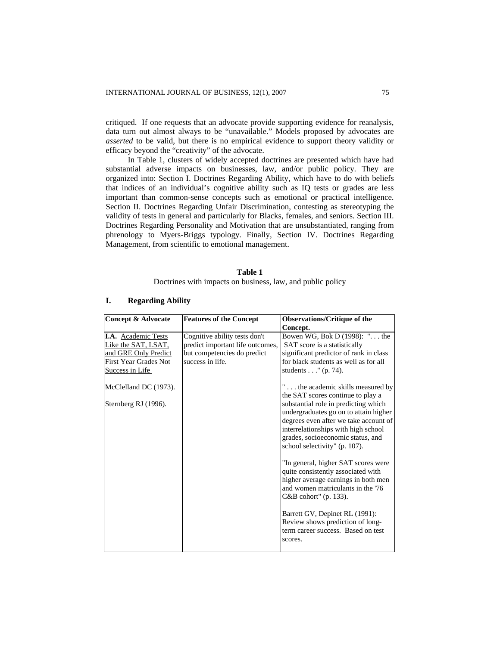critiqued. If one requests that an advocate provide supporting evidence for reanalysis, data turn out almost always to be "unavailable." Models proposed by advocates are *asserted* to be valid, but there is no empirical evidence to support theory validity or efficacy beyond the "creativity" of the advocate.

In Table 1, clusters of widely accepted doctrines are presented which have had substantial adverse impacts on businesses, law, and/or public policy. They are organized into: Section I. Doctrines Regarding Ability, which have to do with beliefs that indices of an individual's cognitive ability such as IQ tests or grades are less important than common-sense concepts such as emotional or practical intelligence. Section II. Doctrines Regarding Unfair Discrimination, contesting as stereotyping the validity of tests in general and particularly for Blacks, females, and seniors. Section III. Doctrines Regarding Personality and Motivation that are unsubstantiated, ranging from phrenology to Myers-Briggs typology. Finally, Section IV. Doctrines Regarding Management, from scientific to emotional management.

#### **Table 1**  Doctrines with impacts on business, law, and public policy

| <b>Concept &amp; Advocate</b> | <b>Features of the Concept</b>   | <b>Observations/Critique of the</b>                                    |
|-------------------------------|----------------------------------|------------------------------------------------------------------------|
|                               |                                  | Concept.                                                               |
| <b>I.A.</b> Academic Tests    | Cognitive ability tests don't    | Bowen WG, Bok D (1998): " the                                          |
| Like the SAT, LSAT,           | predict important life outcomes, | SAT score is a statistically                                           |
| and GRE Only Predict          | but competencies do predict      | significant predictor of rank in class                                 |
| <b>First Year Grades Not</b>  | success in life.                 | for black students as well as for all                                  |
| Success in Life               |                                  | students $\dots$ " (p. 74).                                            |
| McClelland DC (1973).         |                                  | " the academic skills measured by<br>the SAT scores continue to play a |
| Sternberg RJ (1996).          |                                  | substantial role in predicting which                                   |
|                               |                                  | undergraduates go on to attain higher                                  |
|                               |                                  | degrees even after we take account of                                  |
|                               |                                  | interrelationships with high school                                    |
|                               |                                  | grades, socioeconomic status, and                                      |
|                               |                                  | school selectivity" (p. 107).                                          |
|                               |                                  | "In general, higher SAT scores were                                    |
|                               |                                  | quite consistently associated with                                     |
|                               |                                  | higher average earnings in both men                                    |
|                               |                                  | and women matriculants in the '76                                      |
|                               |                                  | $C&B$ cohort" (p. 133).                                                |
|                               |                                  | Barrett GV, Depinet RL (1991):                                         |
|                               |                                  | Review shows prediction of long-                                       |
|                               |                                  | term career success. Based on test                                     |
|                               |                                  | scores.                                                                |

## **I. Regarding Ability**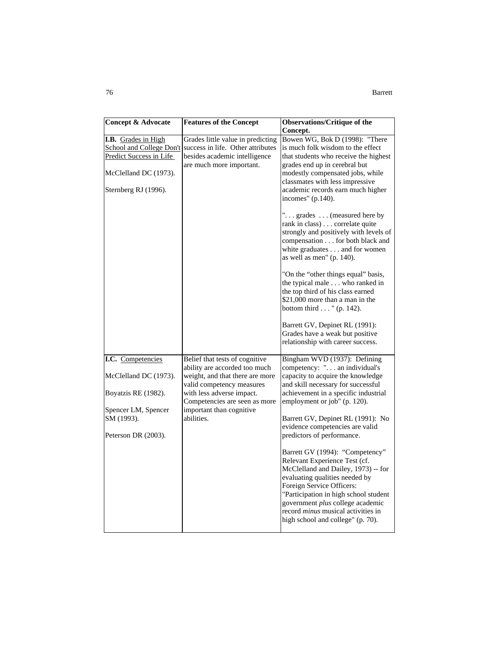| <b>Concept &amp; Advocate</b>                                                                              | <b>Features of the Concept</b>                                                                                                      | <b>Observations/Critique of the</b><br>Concept.                                                                                                                                                                                                                                                                                       |
|------------------------------------------------------------------------------------------------------------|-------------------------------------------------------------------------------------------------------------------------------------|---------------------------------------------------------------------------------------------------------------------------------------------------------------------------------------------------------------------------------------------------------------------------------------------------------------------------------------|
| <b>I.B.</b> Grades in High<br>School and College Don't<br>Predict Success in Life<br>McClelland DC (1973). | Grades little value in predicting<br>success in life. Other attributes<br>besides academic intelligence<br>are much more important. | Bowen WG, Bok D (1998): "There<br>is much folk wisdom to the effect<br>that students who receive the highest<br>grades end up in cerebral but<br>modestly compensated jobs, while                                                                                                                                                     |
| Sternberg RJ (1996).                                                                                       |                                                                                                                                     | classmates with less impressive<br>academic records earn much higher<br>incomes" (p.140).                                                                                                                                                                                                                                             |
|                                                                                                            |                                                                                                                                     | " grades  (measured here by<br>rank in class) correlate quite<br>strongly and positively with levels of<br>compensation for both black and<br>white graduates and for women<br>as well as men" (p. 140).                                                                                                                              |
|                                                                                                            |                                                                                                                                     | "On the "other things equal" basis,<br>the typical male who ranked in<br>the top third of his class earned<br>\$21,000 more than a man in the<br>bottom third $\ldots$ " (p. 142).                                                                                                                                                    |
|                                                                                                            |                                                                                                                                     | Barrett GV, Depinet RL (1991):<br>Grades have a weak but positive<br>relationship with career success.                                                                                                                                                                                                                                |
| I.C. Competencies                                                                                          | Belief that tests of cognitive                                                                                                      | Bingham WVD (1937): Defining                                                                                                                                                                                                                                                                                                          |
| McClelland DC (1973).                                                                                      | ability are accorded too much<br>weight, and that there are more<br>valid competency measures                                       | competency: ". an individual's<br>capacity to acquire the knowledge<br>and skill necessary for successful                                                                                                                                                                                                                             |
| Boyatzis RE (1982).                                                                                        | with less adverse impact.<br>Competencies are seen as more                                                                          | achievement in a specific industrial<br>employment or job" (p. 120).                                                                                                                                                                                                                                                                  |
| Spencer LM, Spencer<br>SM (1993).                                                                          | important than cognitive<br>abilities.                                                                                              | Barrett GV, Depinet RL (1991): No<br>evidence competencies are valid                                                                                                                                                                                                                                                                  |
| Peterson DR (2003).                                                                                        |                                                                                                                                     | predictors of performance.                                                                                                                                                                                                                                                                                                            |
|                                                                                                            |                                                                                                                                     | Barrett GV (1994): "Competency"<br>Relevant Experience Test (cf.<br>McClelland and Dailey, 1973) -- for<br>evaluating qualities needed by<br>Foreign Service Officers:<br>"Participation in high school student<br>government plus college academic<br>record <i>minus</i> musical activities in<br>high school and college" (p. 70). |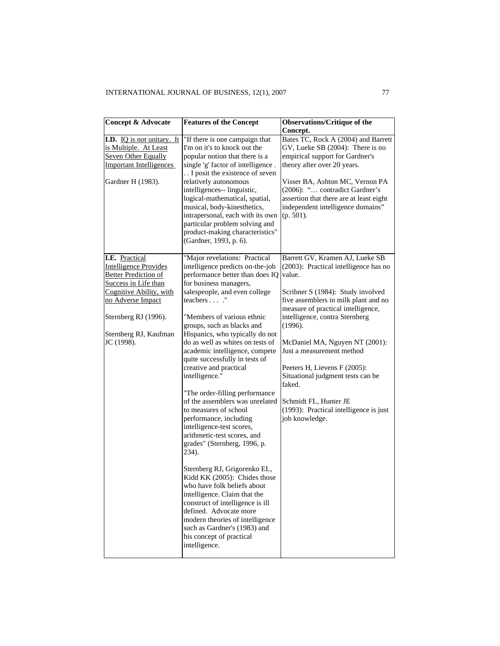## INTERNATIONAL JOURNAL OF BUSINESS, 12(1), 2007 77

| <b>Concept &amp; Advocate</b>                                                                                                                                                                                               | <b>Features of the Concept</b>                                                                                                                                                                                                                                                                                                                                                                                                                                                                                                                                                                                                                                                                                                                                                                                                                                                                                                                                            | <b>Observations/Critique of the</b><br>Concept.                                                                                                                                                                                                                                                                                                                                                                                                                                       |
|-----------------------------------------------------------------------------------------------------------------------------------------------------------------------------------------------------------------------------|---------------------------------------------------------------------------------------------------------------------------------------------------------------------------------------------------------------------------------------------------------------------------------------------------------------------------------------------------------------------------------------------------------------------------------------------------------------------------------------------------------------------------------------------------------------------------------------------------------------------------------------------------------------------------------------------------------------------------------------------------------------------------------------------------------------------------------------------------------------------------------------------------------------------------------------------------------------------------|---------------------------------------------------------------------------------------------------------------------------------------------------------------------------------------------------------------------------------------------------------------------------------------------------------------------------------------------------------------------------------------------------------------------------------------------------------------------------------------|
| <b>I.D.</b> IQ is not unitary. It<br>is Multiple. At Least<br><b>Seven Other Equally</b><br><b>Important Intelligences</b><br>Gardner H (1983).                                                                             | "If there is one campaign that<br>I'm on it's to knock out the<br>popular notion that there is a<br>single 'g' factor of intelligence.<br>I posit the existence of seven<br>relatively autonomous<br>intelligences-- linguistic,<br>logical-mathematical, spatial,<br>musical, body-kinesthetics,<br>intrapersonal, each with its own<br>particular problem solving and<br>product-making characteristics"<br>(Gardner, 1993, p. 6).                                                                                                                                                                                                                                                                                                                                                                                                                                                                                                                                      | Bates TC, Rock A (2004) and Barrett<br>GV, Lueke SB (2004): There is no<br>empirical support for Gardner's<br>theory after over 20 years.<br>Visser BA, Ashton MC, Vernon PA<br>(2006): " contradict Gardner's<br>assertion that there are at least eight<br>independent intelligence domains"<br>$(p. 501)$ .                                                                                                                                                                        |
| <b>I.E.</b> Practical<br><b>Intelligence Provides</b><br><b>Better Prediction of</b><br>Success in Life than<br>Cognitive Ability, with<br>no Adverse Impact<br>Sternberg RJ (1996).<br>Sternberg RJ, Kaufman<br>JC (1998). | "Major revelations: Practical<br>intelligence predicts on-the-job<br>performance better than does IQ<br>for business managers,<br>salespeople, and even college<br>teachers"<br>"Members of various ethnic<br>groups, such as blacks and<br>Hispanics, who typically do not<br>do as well as whites on tests of<br>academic intelligence, compete<br>quite successfully in tests of<br>creative and practical<br>intelligence."<br>"The order-filling performance<br>of the assemblers was unrelated<br>to measures of school<br>performance, including<br>intelligence-test scores,<br>arithmetic-test scores, and<br>grades" (Sternberg, 1996, p.<br>234).<br>Sternberg RJ, Grigorenko EL,<br>Kidd KK (2005): Chides those<br>who have folk beliefs about<br>intelligence. Claim that the<br>construct of intelligence is ill<br>defined. Advocate more<br>modern theories of intelligence<br>such as Gardner's (1983) and<br>his concept of practical<br>intelligence. | Barrett GV, Kramen AJ, Lueke SB<br>(2003): Practical intelligence has no<br>value.<br>Scribner S (1984): Study involved<br>five assemblers in milk plant and no<br>measure of practical intelligence,<br>intelligence, contra Sternberg<br>(1996).<br>McDaniel MA, Nguyen NT (2001):<br>Just a measurement method<br>Peeters H, Lievens F (2005):<br>Situational judgment tests can be<br>faked.<br>Schmidt FL, Hunter JE<br>(1993): Practical intelligence is just<br>job knowledge. |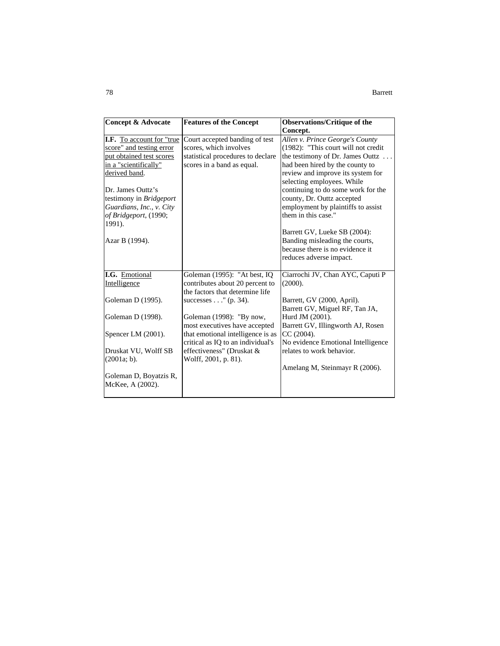| <b>Concept &amp; Advocate</b>     | <b>Features of the Concept</b>    | <b>Observations/Critique of the</b> |
|-----------------------------------|-----------------------------------|-------------------------------------|
|                                   |                                   | Concept.                            |
| <b>I.F.</b> To account for "true" | Court accepted banding of test    | Allen v. Prince George's County     |
| score" and testing error          | scores, which involves            | (1982): "This court will not credit |
| put obtained test scores          | statistical procedures to declare | the testimony of Dr. James Outtz    |
| in a "scientifically"             | scores in a band as equal.        | had been hired by the county to     |
| derived band.                     |                                   | review and improve its system for   |
|                                   |                                   | selecting employees. While          |
| Dr. James Outtz's                 |                                   | continuing to do some work for the  |
| testimony in Bridgeport           |                                   | county, Dr. Outtz accepted          |
| Guardians, Inc., v. City          |                                   | employment by plaintiffs to assist  |
| of Bridgeport, (1990;             |                                   | them in this case."                 |
| 1991).                            |                                   |                                     |
|                                   |                                   | Barrett GV, Lueke SB (2004):        |
| Azar B (1994).                    |                                   | Banding misleading the courts,      |
|                                   |                                   | because there is no evidence it     |
|                                   |                                   | reduces adverse impact.             |
|                                   |                                   |                                     |
| I.G. Emotional                    | Goleman (1995): "At best, IQ      | Ciarrochi JV, Chan AYC, Caputi P    |
| Intelligence                      | contributes about 20 percent to   | (2000).                             |
|                                   | the factors that determine life   |                                     |
| Goleman D (1995).                 | successes $\ldots$ " (p. 34).     | Barrett, GV (2000, April).          |
|                                   |                                   | Barrett GV, Miguel RF, Tan JA,      |
| Goleman D (1998).                 | Goleman (1998): "By now,          | Hurd JM (2001).                     |
|                                   | most executives have accepted     | Barrett GV, Illingworth AJ, Rosen   |
| Spencer LM (2001).                | that emotional intelligence is as | CC (2004).                          |
|                                   | critical as IQ to an individual's | No evidence Emotional Intelligence  |
| Druskat VU, Wolff SB              | effectiveness" (Druskat &         | relates to work behavior.           |
| $(2001a; b)$ .                    | Wolff, 2001, p. 81).              |                                     |
|                                   |                                   | Amelang M, Steinmayr R (2006).      |
| Goleman D, Boyatzis R,            |                                   |                                     |
| McKee, A (2002).                  |                                   |                                     |
|                                   |                                   |                                     |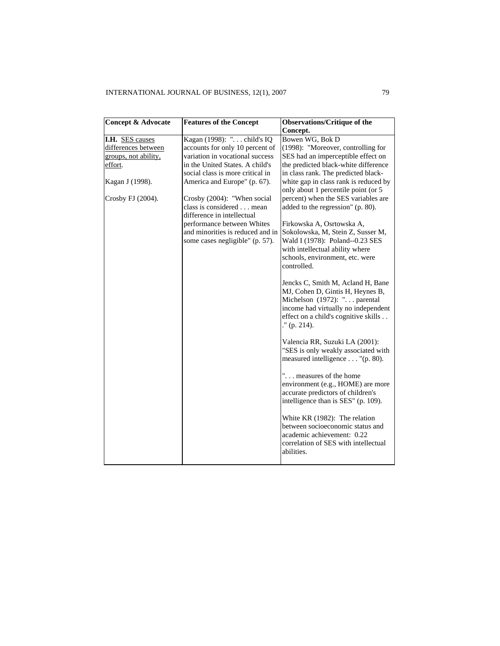| <b>Concept &amp; Advocate</b> | <b>Features of the Concept</b>                                      | <b>Observations/Critique of the</b>                                                                                                                                                                  |
|-------------------------------|---------------------------------------------------------------------|------------------------------------------------------------------------------------------------------------------------------------------------------------------------------------------------------|
|                               |                                                                     | Concept.                                                                                                                                                                                             |
| I.H. SES causes               | Kagan (1998): ". child's IQ                                         | Bowen WG, Bok D                                                                                                                                                                                      |
| differences between           | accounts for only 10 percent of                                     | (1998): "Moreover, controlling for                                                                                                                                                                   |
| groups, not ability,          | variation in vocational success                                     | SES had an imperceptible effect on                                                                                                                                                                   |
| effort.                       | in the United States. A child's                                     | the predicted black-white difference                                                                                                                                                                 |
|                               | social class is more critical in                                    | in class rank. The predicted black-                                                                                                                                                                  |
| Kagan J (1998).               | America and Europe" (p. 67).                                        | white gap in class rank is reduced by<br>only about 1 percentile point (or 5                                                                                                                         |
| Crosby FJ (2004).             | Crosby (2004): "When social                                         | percent) when the SES variables are                                                                                                                                                                  |
|                               | class is considered mean<br>difference in intellectual              | added to the regression" (p. 80).                                                                                                                                                                    |
|                               | performance between Whites                                          | Firkowska A, Osrtowska A,                                                                                                                                                                            |
|                               | and minorities is reduced and in<br>some cases negligible" (p. 57). | Sokolowska, M, Stein Z, Susser M,<br>Wald I (1978): Poland--0.23 SES<br>with intellectual ability where<br>schools, environment, etc. were<br>controlled.                                            |
|                               |                                                                     | Jencks C, Smith M, Acland H, Bane<br>MJ, Cohen D, Gintis H, Heynes B,<br>Michelson (1972): " parental<br>income had virtually no independent<br>effect on a child's cognitive skills<br>." (p. 214). |
|                               |                                                                     | Valencia RR, Suzuki LA (2001):<br>"SES is only weakly associated with<br>measured intelligence "(p. 80).                                                                                             |
|                               |                                                                     | " measures of the home"<br>environment (e.g., HOME) are more<br>accurate predictors of children's<br>intelligence than is SES" (p. 109).                                                             |
|                               |                                                                     | White KR (1982): The relation<br>between socioeconomic status and<br>academic achievement: 0.22<br>correlation of SES with intellectual<br>abilities.                                                |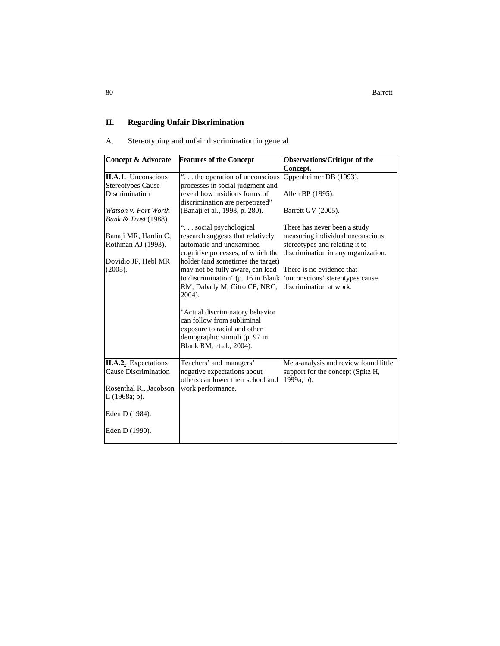# **II. Regarding Unfair Discrimination**

# A. Stereotyping and unfair discrimination in general

| <b>Concept &amp; Advocate</b> | <b>Features of the Concept</b>     | <b>Observations/Critique of the</b>   |
|-------------------------------|------------------------------------|---------------------------------------|
|                               |                                    | Concept.                              |
| <b>II.A.1. Unconscious</b>    | " the operation of unconscious     | Oppenheimer DB (1993).                |
| <b>Stereotypes Cause</b>      | processes in social judgment and   |                                       |
| Discrimination                | reveal how insidious forms of      | Allen BP (1995).                      |
|                               | discrimination are perpetrated"    |                                       |
| Watson v. Fort Worth          | (Banaji et al., 1993, p. 280).     | Barrett GV (2005).                    |
| Bank & Trust (1988).          |                                    |                                       |
|                               | " social psychological             | There has never been a study          |
| Banaji MR, Hardin C,          | research suggests that relatively  | measuring individual unconscious      |
| Rothman AJ (1993).            | automatic and unexamined           | stereotypes and relating it to        |
|                               | cognitive processes, of which the  | discrimination in any organization.   |
| Dovidio JF, Hebl MR           | holder (and sometimes the target)  |                                       |
| (2005).                       | may not be fully aware, can lead   | There is no evidence that             |
|                               | to discrimination" (p. 16 in Blank | 'unconscious' stereotypes cause       |
|                               | RM, Dabady M, Citro CF, NRC,       | discrimination at work.               |
|                               | 2004).                             |                                       |
|                               |                                    |                                       |
|                               | "Actual discriminatory behavior    |                                       |
|                               | can follow from subliminal         |                                       |
|                               | exposure to racial and other       |                                       |
|                               | demographic stimuli (p. 97 in      |                                       |
|                               | Blank RM, et al., 2004).           |                                       |
|                               |                                    |                                       |
| <b>II.A.2.</b> Expectations   | Teachers' and managers'            | Meta-analysis and review found little |
| Cause Discrimination          | negative expectations about        | support for the concept (Spitz H,     |
|                               | others can lower their school and  | 1999a; b).                            |
| Rosenthal R., Jacobson        | work performance.                  |                                       |
| $L(1968a; b)$ .               |                                    |                                       |
|                               |                                    |                                       |
| Eden D (1984).                |                                    |                                       |
| Eden D (1990).                |                                    |                                       |
|                               |                                    |                                       |
|                               |                                    |                                       |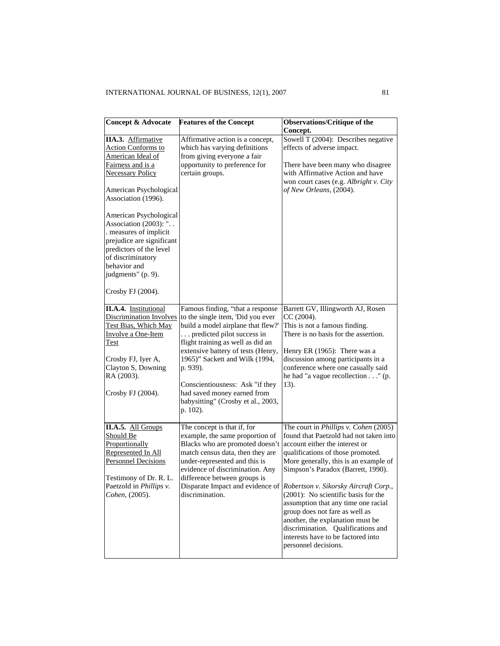| <b>Concept &amp; Advocate</b>                                                                                                                                                                                                                                                                                                                                                                 | <b>Features of the Concept</b>                                                                                                                                                                                                                                                                                                                                                         | <b>Observations/Critique of the</b><br>Concept.                                                                                                                                                                                                                                                                                                                                                                                                                                                                                                                                        |
|-----------------------------------------------------------------------------------------------------------------------------------------------------------------------------------------------------------------------------------------------------------------------------------------------------------------------------------------------------------------------------------------------|----------------------------------------------------------------------------------------------------------------------------------------------------------------------------------------------------------------------------------------------------------------------------------------------------------------------------------------------------------------------------------------|----------------------------------------------------------------------------------------------------------------------------------------------------------------------------------------------------------------------------------------------------------------------------------------------------------------------------------------------------------------------------------------------------------------------------------------------------------------------------------------------------------------------------------------------------------------------------------------|
| IIA.3. Affirmative<br><b>Action Conforms to</b><br>American Ideal of<br>Fairness and is a<br><b>Necessary Policy</b><br>American Psychological<br>Association (1996).<br>American Psychological<br>Association (2003): ". .<br>. measures of implicit<br>prejudice are significant<br>predictors of the level<br>of discriminatory<br>behavior and<br>judgments" (p. 9).<br>Crosby FJ (2004). | Affirmative action is a concept,<br>which has varying definitions<br>from giving everyone a fair<br>opportunity to preference for<br>certain groups.                                                                                                                                                                                                                                   | Sowell T (2004): Describes negative<br>effects of adverse impact.<br>There have been many who disagree<br>with Affirmative Action and have<br>won court cases (e.g. Albright v. City<br>of New Orleans, (2004).                                                                                                                                                                                                                                                                                                                                                                        |
| <b>II.A.4.</b> Institutional<br><b>Discrimination Involves</b><br>Test Bias, Which May<br>Involve a One-Item<br><b>Test</b><br>Crosby FJ, Iyer A,<br>Clayton S, Downing<br>RA (2003).<br>Crosby FJ (2004).                                                                                                                                                                                    | Famous finding, "that a response<br>to the single item, 'Did you ever<br>build a model airplane that flew?'<br>predicted pilot success in<br>flight training as well as did an<br>extensive battery of tests (Henry,<br>1965)" Sackett and Wilk (1994,<br>p. 939).<br>Conscientiousness: Ask "if they<br>had saved money earned from<br>babysitting" (Crosby et al., 2003,<br>p. 102). | Barrett GV, Illingworth AJ, Rosen<br>CC (2004).<br>This is not a famous finding.<br>There is no basis for the assertion.<br>Henry ER (1965): There was a<br>discussion among participants in a<br>conference where one casually said<br>he had "a vague recollection" (p.<br>13).                                                                                                                                                                                                                                                                                                      |
| II.A.5. All Groups<br>Should Be<br>Proportionally<br>Represented In All<br><b>Personnel Decisions</b><br>Testimony of Dr. R. L.<br>Paetzold in Phillips v.<br>Cohen, (2005).                                                                                                                                                                                                                  | The concept is that if, for<br>example, the same proportion of<br>Blacks who are promoted doesn't<br>match census data, then they are<br>under-represented and this is<br>evidence of discrimination. Any<br>difference between groups is<br>discrimination.                                                                                                                           | The court in <i>Phillips v. Cohen</i> (2005)<br>found that Paetzold had not taken into<br>account either the interest or<br>qualifications of those promoted.<br>More generally, this is an example of<br>Simpson's Paradox (Barrett, 1990).<br>Disparate Impact and evidence of <i>Robertson v. Sikorsky Aircraft Corp.</i> ,<br>(2001): No scientific basis for the<br>assumption that any time one racial<br>group does not fare as well as<br>another, the explanation must be<br>discrimination. Qualifications and<br>interests have to be factored into<br>personnel decisions. |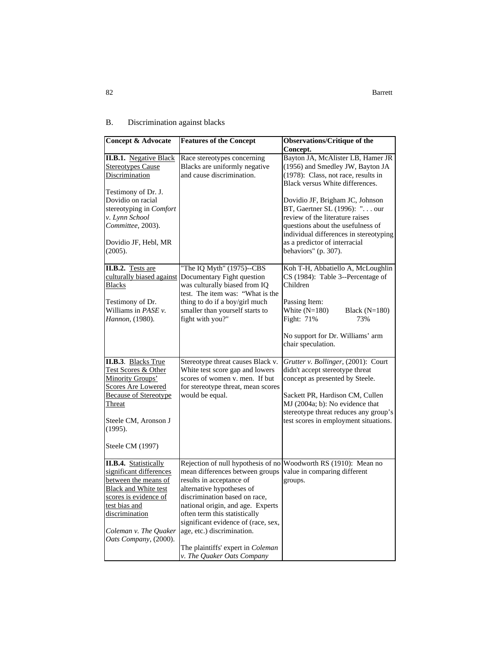# B. Discrimination against blacks

| <b>Concept &amp; Advocate</b>                             | <b>Features of the Concept</b>                                    | <b>Observations/Critique of the</b>                                         |
|-----------------------------------------------------------|-------------------------------------------------------------------|-----------------------------------------------------------------------------|
|                                                           |                                                                   | Concept.                                                                    |
| <b>II.B.1.</b> Negative Black<br><b>Stereotypes Cause</b> | Race stereotypes concerning<br>Blacks are uniformly negative      | Bayton JA, McAlister LB, Hamer JR<br>(1956) and Smedley JW, Bayton JA       |
| Discrimination                                            | and cause discrimination.                                         | (1978): Class, not race, results in                                         |
|                                                           |                                                                   | Black versus White differences.                                             |
| Testimony of Dr. J.                                       |                                                                   |                                                                             |
| Dovidio on racial                                         |                                                                   | Dovidio JF, Brigham JC, Johnson                                             |
| stereotyping in Comfort                                   |                                                                   | BT, Gaertner SL (1996): ". our                                              |
| v. Lynn School                                            |                                                                   | review of the literature raises                                             |
| Committee, 2003).                                         |                                                                   | questions about the usefulness of<br>individual differences in stereotyping |
| Dovidio JF, Hebl, MR                                      |                                                                   | as a predictor of interracial                                               |
| (2005).                                                   |                                                                   | behaviors" (p. 307).                                                        |
|                                                           |                                                                   |                                                                             |
| <b>II.B.2.</b> Tests are                                  | "The IQ Myth" (1975)--CBS                                         | Koh T-H, Abbatiello A, McLoughlin                                           |
| culturally biased against                                 | Documentary Fight question                                        | CS (1984): Table 3--Percentage of                                           |
| <b>Blacks</b>                                             | was culturally biased from IQ                                     | Children                                                                    |
|                                                           | test. The item was: "What is the                                  |                                                                             |
| Testimony of Dr.<br>Williams in <i>PASE</i> $\nu$ .       | thing to do if a boy/girl much<br>smaller than yourself starts to | Passing Item:                                                               |
| Hannon, (1980).                                           | fight with you?"                                                  | White $(N=180)$<br>Black $(N=180)$<br>Fight: 71%<br>73%                     |
|                                                           |                                                                   |                                                                             |
|                                                           |                                                                   | No support for Dr. Williams' arm                                            |
|                                                           |                                                                   | chair speculation.                                                          |
|                                                           |                                                                   |                                                                             |
| II.B.3. Blacks True                                       | Stereotype threat causes Black v.                                 | Grutter v. Bollinger, (2001): Court                                         |
| Test Scores & Other<br><b>Minority Groups'</b>            | White test score gap and lowers<br>scores of women v. men. If but | didn't accept stereotype threat<br>concept as presented by Steele.          |
| <b>Scores Are Lowered</b>                                 | for stereotype threat, mean scores                                |                                                                             |
| <b>Because of Stereotype</b>                              | would be equal.                                                   | Sackett PR, Hardison CM, Cullen                                             |
| Threat                                                    |                                                                   | MJ (2004a; b): No evidence that                                             |
|                                                           |                                                                   | stereotype threat reduces any group's                                       |
| Steele CM, Aronson J                                      |                                                                   | test scores in employment situations.                                       |
| (1995).                                                   |                                                                   |                                                                             |
|                                                           |                                                                   |                                                                             |
| Steele CM (1997)                                          |                                                                   |                                                                             |
| <b>II.B.4.</b> Statistically                              | Rejection of null hypothesis of no                                | Woodworth RS (1910): Mean no                                                |
| significant differences                                   | mean differences between groups                                   | value in comparing different                                                |
| between the means of                                      | results in acceptance of                                          | groups.                                                                     |
| <b>Black and White test</b>                               | alternative hypotheses of                                         |                                                                             |
| scores is evidence of                                     | discrimination based on race,                                     |                                                                             |
| test bias and                                             | national origin, and age. Experts                                 |                                                                             |
| discrimination                                            | often term this statistically                                     |                                                                             |
| Coleman v. The Quaker                                     | significant evidence of (race, sex,<br>age, etc.) discrimination. |                                                                             |
| Oats Company, (2000).                                     |                                                                   |                                                                             |
|                                                           | The plaintiffs' expert in Coleman                                 |                                                                             |
|                                                           | v. The Quaker Oats Company                                        |                                                                             |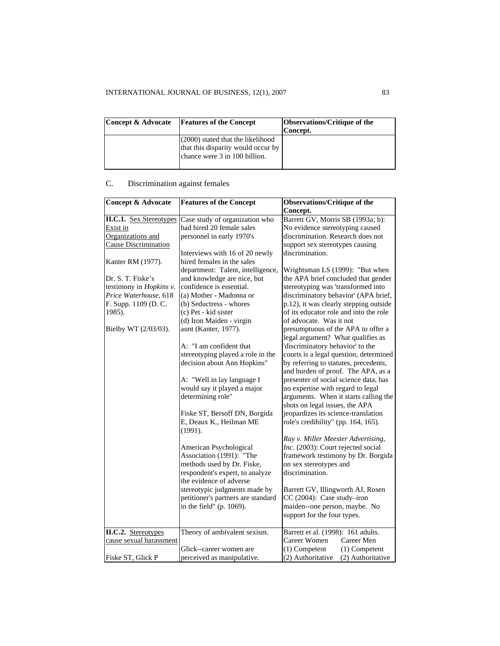# INTERNATIONAL JOURNAL OF BUSINESS, 12(1), 2007 83

| Concept & Advocate | <b>Features of the Concept</b>                                                                             | <b>Observations/Critique of the</b><br>Concept. |
|--------------------|------------------------------------------------------------------------------------------------------------|-------------------------------------------------|
|                    | $(2000)$ stated that the likelihood<br>that this disparity would occur by<br>chance were 3 in 100 billion. |                                                 |

# C. Discrimination against females

| <b>Concept &amp; Advocate</b>  | <b>Features of the Concept</b>     | <b>Observations/Critique of the</b>    |
|--------------------------------|------------------------------------|----------------------------------------|
|                                |                                    | Concept.                               |
| <b>II.C.1.</b> Sex Stereotypes | Case study of organization who     | Barrett GV, Morris SB (1993a; b):      |
| Exist in                       | had hired 20 female sales          | No evidence stereotyping caused        |
| Organizations and              | personnel in early 1970's          | discrimination. Research does not      |
| <b>Cause Discrimination</b>    |                                    | support sex stereotypes causing        |
|                                | Interviews with 16 of 20 newly     | discrimination.                        |
| Kanter RM (1977).              | hired females in the sales         |                                        |
|                                | department: Talent, intelligence,  | Wrightsman LS (1999): "But when        |
| Dr. S. T. Fiske's              | and knowledge are nice, but        | the APA brief concluded that gender    |
| testimony in <i>Hopkins</i> v. | confidence is essential.           | stereotyping was 'transformed into     |
| Price Waterhouse, 618          | (a) Mother - Madonna or            | discriminatory behavior' (APA brief,   |
| F. Supp. 1109 (D. C.           | (b) Seductress - whores            | p.12), it was clearly stepping outside |
| 1985).                         | (c) Pet - kid sister               | of its educator role and into the role |
|                                | (d) Iron Maiden - virgin           | of advocate. Was it not                |
| Bielby WT (2/03/03).           | aunt (Kanter, 1977).               | presumptuous of the APA to offer a     |
|                                |                                    | legal argument? What qualifies as      |
|                                | A: "I am confident that            | 'discriminatory behavior' to the       |
|                                | stereotyping played a role in the  | courts is a legal question, determined |
|                                | decision about Ann Hopkins"        | by referring to statutes, precedents,  |
|                                |                                    | and burden of proof. The APA, as a     |
|                                | A: "Well in lay language I         | presenter of social science data, has  |
|                                | would say it played a major        | no expertise with regard to legal      |
|                                | determining role"                  | arguments. When it starts calling the  |
|                                |                                    | shots on legal issues, the APA         |
|                                | Fiske ST, Bersoff DN, Borgida      | jeopardizes its science-translation    |
|                                | E, Deaux K., Heilman ME            | role's credibility" (pp. 164, 165).    |
|                                | (1991).                            |                                        |
|                                |                                    | Ray v. Miller Meester Advertising,     |
|                                | American Psychological             | Inc. (2003): Court rejected social     |
|                                | Association (1991): "The           | framework testimony by Dr. Borgida     |
|                                | methods used by Dr. Fiske,         | on sex stereotypes and                 |
|                                | respondent's expert, to analyze    | discrimination.                        |
|                                | the evidence of adverse            |                                        |
|                                | stereotypic judgments made by      | Barrett GV, Illingworth AJ, Rosen      |
|                                | petitioner's partners are standard | CC (2004): Case study-iron             |
|                                | in the field" (p. 1069).           | maiden--one person, maybe. No          |
|                                |                                    | support for the four types.            |
|                                |                                    |                                        |
| II.C.2. Stereotypes            | Theory of ambivalent sexism.       | Barrett et al. (1998): 161 adults.     |
| cause sexual harassment        |                                    | Career Women<br>Career Men             |
|                                | Glick--career women are            | $(1)$ Competent<br>$(1)$ Competent     |
| Fiske ST, Glick P              | perceived as manipulative.         | (2) Authoritative<br>(2) Authoritative |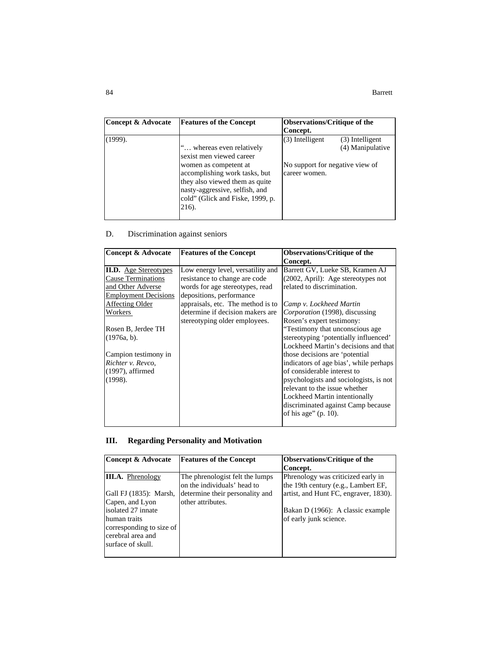| Concept & Advocate | <b>Features of the Concept</b>                                                                                                                                                                                                   | <b>Observations/Critique of the</b><br>Concept.                                                            |
|--------------------|----------------------------------------------------------------------------------------------------------------------------------------------------------------------------------------------------------------------------------|------------------------------------------------------------------------------------------------------------|
| (1999).            | " whereas even relatively<br>sexist men viewed career<br>women as competent at<br>accomplishing work tasks, but<br>they also viewed them as quite<br>nasty-aggressive, selfish, and<br>cold" (Glick and Fiske, 1999, p.<br>216). | (3) Intelligent<br>(3) Intelligent<br>(4) Manipulative<br>No support for negative view of<br>career women. |

# D. Discrimination against seniors

| <b>Concept &amp; Advocate</b> | <b>Features of the Concept</b>    | <b>Observations/Critique of the</b>    |
|-------------------------------|-----------------------------------|----------------------------------------|
|                               |                                   | Concept.                               |
| <b>II.D.</b> Age Stereotypes  | Low energy level, versatility and | Barrett GV, Lueke SB, Kramen AJ        |
| <b>Cause Terminations</b>     | resistance to change are code     | $(2002, April)$ : Age stereotypes not  |
| and Other Adverse             | words for age stereotypes, read   | related to discrimination.             |
| <b>Employment Decisions</b>   | depositions, performance          |                                        |
| Affecting Older               | appraisals, etc. The method is to | Camp v. Lockheed Martin                |
| Workers                       | determine if decision makers are  | Corporation (1998), discussing         |
|                               | stereotyping older employees.     | Rosen's expert testimony:              |
| Rosen B, Jerdee TH            |                                   | "Testimony that unconscious age."      |
| $(1976a, b)$ .                |                                   | stereotyping 'potentially influenced'  |
|                               |                                   | Lockheed Martin's decisions and that   |
| Campion testimony in          |                                   | those decisions are 'potential         |
| Richter v. Revco,             |                                   | indicators of age bias', while perhaps |
| $(1997)$ , affirmed           |                                   | of considerable interest to            |
| (1998).                       |                                   | psychologists and sociologists, is not |
|                               |                                   | relevant to the issue whether          |
|                               |                                   | Lockheed Martin intentionally          |
|                               |                                   | discriminated against Camp because     |
|                               |                                   | of his age" $(p. 10)$ .                |
|                               |                                   |                                        |

# **III. Regarding Personality and Motivation**

| Concept & Advocate       | <b>Features of the Concept</b>  | <b>Observations/Critique of the</b>   |
|--------------------------|---------------------------------|---------------------------------------|
|                          |                                 | Concept.                              |
| <b>III.A.</b> Phrenology | The phrenologist felt the lumps | Phrenology was criticized early in    |
|                          | on the individuals' head to     | the 19th century (e.g., Lambert EF,   |
| Gall FJ (1835): Marsh,   | determine their personality and | artist, and Hunt FC, engraver, 1830). |
| Capen, and Lyon          | other attributes.               |                                       |
| isolated 27 innate       |                                 | Bakan D (1966): A classic example     |
| human traits             |                                 | of early junk science.                |
| corresponding to size of |                                 |                                       |
| cerebral area and        |                                 |                                       |
| surface of skull.        |                                 |                                       |
|                          |                                 |                                       |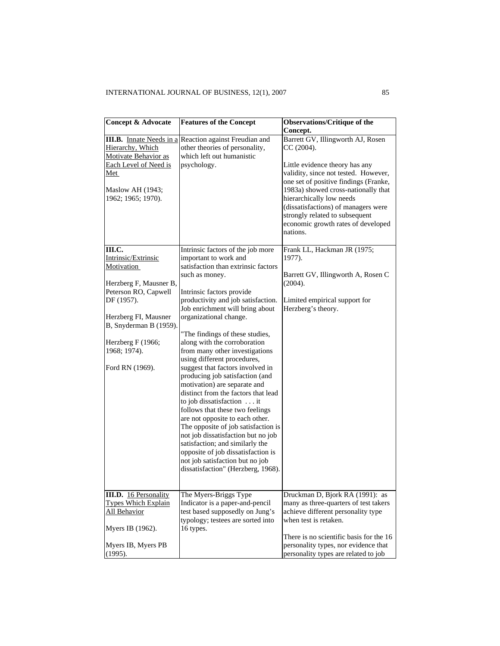| Concept & Advocate                                                                                                                                    | <b>Features of the Concept</b>                                                                                                                                                                                                                                                                                                                                                                                                                                               | <b>Observations/Critique of the</b><br>Concept.                                                                                                                                                                                                                                                                                                                 |
|-------------------------------------------------------------------------------------------------------------------------------------------------------|------------------------------------------------------------------------------------------------------------------------------------------------------------------------------------------------------------------------------------------------------------------------------------------------------------------------------------------------------------------------------------------------------------------------------------------------------------------------------|-----------------------------------------------------------------------------------------------------------------------------------------------------------------------------------------------------------------------------------------------------------------------------------------------------------------------------------------------------------------|
| <b>III.B.</b> Innate Needs in a<br>Hierarchy, Which<br>Motivate Behavior as<br>Each Level of Need is<br>Met<br>Maslow AH (1943;<br>1962; 1965; 1970). | Reaction against Freudian and<br>other theories of personality,<br>which left out humanistic<br>psychology.                                                                                                                                                                                                                                                                                                                                                                  | Barrett GV, Illingworth AJ, Rosen<br>CC(2004).<br>Little evidence theory has any<br>validity, since not tested. However,<br>one set of positive findings (Franke,<br>1983a) showed cross-nationally that<br>hierarchically low needs<br>(dissatisfactions) of managers were<br>strongly related to subsequent<br>economic growth rates of developed<br>nations. |
| III.C.<br>Intrinsic/Extrinsic<br>Motivation                                                                                                           | Intrinsic factors of the job more<br>important to work and<br>satisfaction than extrinsic factors<br>such as money.                                                                                                                                                                                                                                                                                                                                                          | Frank LL, Hackman JR (1975;<br>1977).<br>Barrett GV, Illingworth A, Rosen C                                                                                                                                                                                                                                                                                     |
| Herzberg F, Mausner B,<br>Peterson RO, Capwell<br>DF (1957).<br>Herzberg FI, Mausner<br>B, Snyderman B (1959).                                        | Intrinsic factors provide<br>productivity and job satisfaction.<br>Job enrichment will bring about<br>organizational change.                                                                                                                                                                                                                                                                                                                                                 | (2004).<br>Limited empirical support for<br>Herzberg's theory.                                                                                                                                                                                                                                                                                                  |
| Herzberg F (1966;<br>1968; 1974).                                                                                                                     | "The findings of these studies,<br>along with the corroboration<br>from many other investigations<br>using different procedures,                                                                                                                                                                                                                                                                                                                                             |                                                                                                                                                                                                                                                                                                                                                                 |
| Ford RN (1969).                                                                                                                                       | suggest that factors involved in<br>producing job satisfaction (and<br>motivation) are separate and<br>distinct from the factors that lead<br>to job dissatisfaction it<br>follows that these two feelings<br>are not opposite to each other.<br>The opposite of job satisfaction is<br>not job dissatisfaction but no job<br>satisfaction; and similarly the<br>opposite of job dissatisfaction is<br>not job satisfaction but no job<br>dissatisfaction" (Herzberg, 1968). |                                                                                                                                                                                                                                                                                                                                                                 |
| <b>III.D.</b> 16 Personality<br>Types Which Explain<br>All Behavior<br>Myers IB (1962).                                                               | The Myers-Briggs Type<br>Indicator is a paper-and-pencil<br>test based supposedly on Jung's<br>typology; testees are sorted into<br>16 types.                                                                                                                                                                                                                                                                                                                                | Druckman D, Bjork RA (1991): as<br>many as three-quarters of test takers<br>achieve different personality type<br>when test is retaken.                                                                                                                                                                                                                         |
| Myers IB, Myers PB<br>(1995).                                                                                                                         |                                                                                                                                                                                                                                                                                                                                                                                                                                                                              | There is no scientific basis for the 16<br>personality types, nor evidence that<br>personality types are related to job                                                                                                                                                                                                                                         |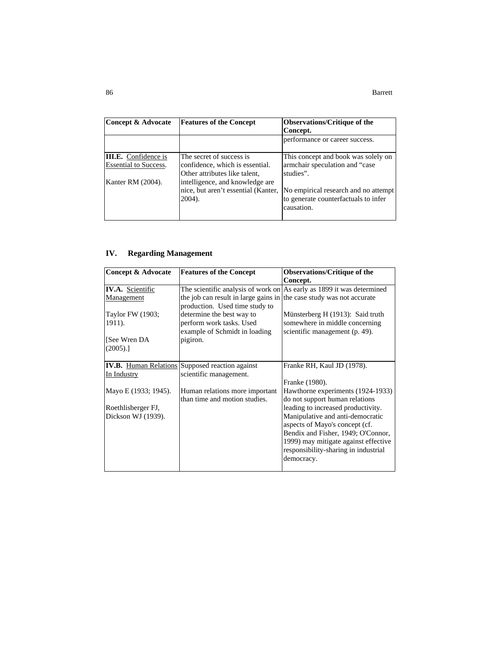#### 86 Barrett and the set of the set of the set of the set of the set of the set of the set of the set of the set of the set of the set of the set of the set of the set of the set of the set of the set of the set of the set o

| Concept & Advocate<br><b>Features of the Concept</b> |                                     | <b>Observations/Critique of the</b><br>Concept. |  |
|------------------------------------------------------|-------------------------------------|-------------------------------------------------|--|
|                                                      |                                     | performance or career success.                  |  |
| <b>III.E.</b> Confidence is                          | The secret of success is            | This concept and book was solely on             |  |
| <b>Essential to Success.</b>                         | confidence, which is essential.     | armchair speculation and "case                  |  |
|                                                      | Other attributes like talent,       | studies".                                       |  |
| Kanter RM (2004).                                    | intelligence, and knowledge are     |                                                 |  |
|                                                      | nice, but aren't essential (Kanter, | No empirical research and no attempt            |  |
|                                                      | 2004).                              | to generate counterfactuals to infer            |  |
|                                                      |                                     | causation.                                      |  |
|                                                      |                                     |                                                 |  |

# **IV. Regarding Management**

| <b>Concept &amp; Advocate</b> | <b>Features of the Concept</b>                                       | <b>Observations/Critique of the</b>                                   |
|-------------------------------|----------------------------------------------------------------------|-----------------------------------------------------------------------|
|                               |                                                                      | Concept.                                                              |
| <b>IV.A.</b> Scientific       |                                                                      | The scientific analysis of work on As early as 1899 it was determined |
| Management                    | the job can result in large gains in the case study was not accurate |                                                                       |
|                               | production. Used time study to                                       |                                                                       |
| Taylor FW (1903;              | determine the best way to                                            | Münsterberg H (1913): Said truth                                      |
| $1911$ ).                     | perform work tasks. Used                                             | somewhere in middle concerning                                        |
|                               | example of Schmidt in loading                                        | scientific management (p. 49).                                        |
| [See Wren DA                  | pigiron.                                                             |                                                                       |
| (2005).                       |                                                                      |                                                                       |
|                               |                                                                      |                                                                       |
|                               | <b>IV.B.</b> Human Relations Supposed reaction against               | Franke RH, Kaul JD (1978).                                            |
| In Industry                   | scientific management.                                               |                                                                       |
|                               |                                                                      | Franke (1980).                                                        |
| Mayo E (1933; 1945).          | Human relations more important                                       | Hawthorne experiments (1924-1933)                                     |
|                               | than time and motion studies.                                        | do not support human relations                                        |
| Roethlisberger FJ,            |                                                                      | leading to increased productivity.                                    |
| Dickson WJ (1939).            |                                                                      | Manipulative and anti-democratic                                      |
|                               |                                                                      | aspects of Mayo's concept (cf.                                        |
|                               |                                                                      | Bendix and Fisher, 1949; O'Connor,                                    |
|                               |                                                                      | 1999) may mitigate against effective                                  |
|                               |                                                                      | responsibility-sharing in industrial                                  |
|                               |                                                                      | democracy.                                                            |
|                               |                                                                      |                                                                       |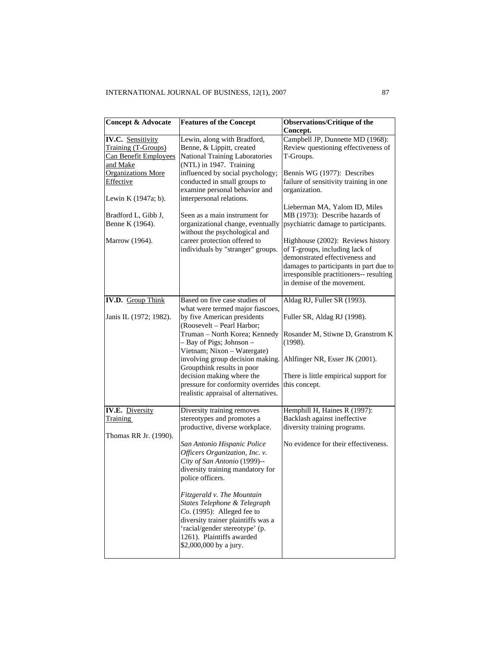| <b>Concept &amp; Advocate</b>                                                                                                                            | <b>Features of the Concept</b>                                                                                                                                                                                                                                                                                                                                                                                                                                                    | <b>Observations/Critique of the</b><br>Concept.                                                                                                                                                                                                                                                                                    |
|----------------------------------------------------------------------------------------------------------------------------------------------------------|-----------------------------------------------------------------------------------------------------------------------------------------------------------------------------------------------------------------------------------------------------------------------------------------------------------------------------------------------------------------------------------------------------------------------------------------------------------------------------------|------------------------------------------------------------------------------------------------------------------------------------------------------------------------------------------------------------------------------------------------------------------------------------------------------------------------------------|
| IV.C. Sensitivity<br><b>Training (T-Groups)</b><br>Can Benefit Employees<br>and Make<br><b>Organizations More</b><br>Effective<br>Lewin K $(1947a; b)$ . | Lewin, along with Bradford,<br>Benne, & Lippitt, created<br><b>National Training Laboratories</b><br>(NTL) in 1947. Training<br>influenced by social psychology;<br>conducted in small groups to<br>examine personal behavior and<br>interpersonal relations.                                                                                                                                                                                                                     | Campbell JP, Dunnette MD (1968):<br>Review questioning effectiveness of<br>T-Groups.<br>Bennis WG (1977): Describes<br>failure of sensitivity training in one<br>organization.                                                                                                                                                     |
| Bradford L, Gibb J,<br>Benne K (1964).<br>Marrow (1964).                                                                                                 | Seen as a main instrument for<br>organizational change, eventually<br>without the psychological and<br>career protection offered to<br>individuals by "stranger" groups.                                                                                                                                                                                                                                                                                                          | Lieberman MA, Yalom ID, Miles<br>MB (1973): Describe hazards of<br>psychiatric damage to participants.<br>Highhouse (2002): Reviews history<br>of T-groups, including lack of<br>demonstrated effectiveness and<br>damages to participants in part due to<br>irresponsible practitioners-- resulting<br>in demise of the movement. |
| IV.D. Group Think<br>Janis IL (1972; 1982).                                                                                                              | Based on five case studies of<br>what were termed major fiascoes,<br>by five American presidents<br>(Roosevelt - Pearl Harbor;<br>Truman - North Korea; Kennedy<br>- Bay of Pigs; Johnson -<br>Vietnam; Nixon - Watergate)<br>involving group decision making.<br>Groupthink results in poor<br>decision making where the<br>pressure for conformity overrides<br>realistic appraisal of alternatives.                                                                            | Aldag RJ, Fuller SR (1993).<br>Fuller SR, Aldag RJ (1998).<br>Rosander M, Stiwne D, Granstrom K<br>(1998).<br>Ahlfinger NR, Esser JK (2001).<br>There is little empirical support for<br>this concept.                                                                                                                             |
| IV.E. Diversity<br>Training<br>Thomas RR Jr. (1990).                                                                                                     | Diversity training removes<br>stereotypes and promotes a<br>productive, diverse workplace.<br>San Antonio Hispanic Police<br>Officers Organization, Inc. v.<br>City of San Antonio (1999)--<br>diversity training mandatory for<br>police officers.<br>Fitzgerald v. The Mountain<br>States Telephone & Telegraph<br>$Co. (1995)$ : Alleged fee to<br>diversity trainer plaintiffs was a<br>'racial/gender stereotype' (p.<br>1261). Plaintiffs awarded<br>\$2,000,000 by a jury. | Hemphill H, Haines R (1997):<br>Backlash against ineffective<br>diversity training programs.<br>No evidence for their effectiveness.                                                                                                                                                                                               |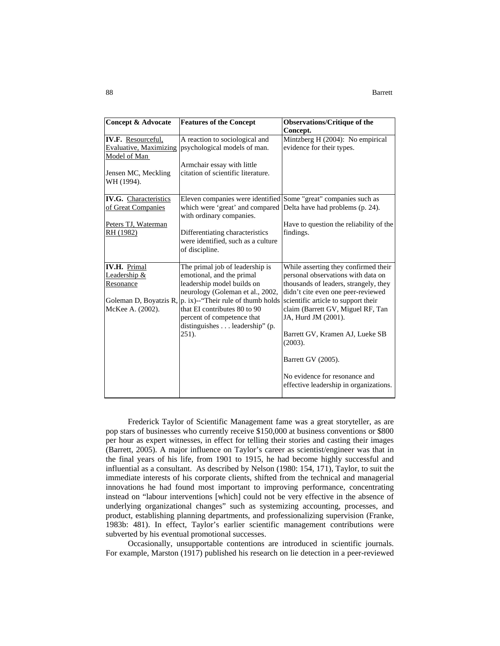| <b>Concept &amp; Advocate</b>                                                                                   | <b>Features of the Concept</b>                                                                                                                                       | <b>Observations/Critique of the</b><br>Concept.                                                                                                           |
|-----------------------------------------------------------------------------------------------------------------|----------------------------------------------------------------------------------------------------------------------------------------------------------------------|-----------------------------------------------------------------------------------------------------------------------------------------------------------|
| <b>IV.F.</b> Resourceful,<br><b>Evaluative, Maximizing</b><br>Model of Man<br>Jensen MC, Meckling<br>WH (1994). | A reaction to sociological and<br>psychological models of man.<br>Armchair essay with little<br>citation of scientific literature.                                   | Mintzberg H (2004): No empirical<br>evidence for their types.                                                                                             |
| <b>IV.G.</b> Characteristics<br>of Great Companies                                                              | Eleven companies were identified Some "great" companies such as<br>which were 'great' and compared Delta have had problems (p. 24).                                  |                                                                                                                                                           |
| Peters TJ, Waterman<br>RH (1982)                                                                                | with ordinary companies.<br>Differentiating characteristics<br>were identified, such as a culture<br>of discipline.                                                  | Have to question the reliability of the<br>findings.                                                                                                      |
| <b>IV.H.</b> Primal<br>Leadership &<br>Resonance                                                                | The primal job of leadership is<br>emotional, and the primal<br>leadership model builds on<br>neurology (Goleman et al., 2002,                                       | While asserting they confirmed their<br>personal observations with data on<br>thousands of leaders, strangely, they<br>didn't cite even one peer-reviewed |
| McKee A. (2002).                                                                                                | Goleman D, Boyatzis R, $ p \rangle$ . ix - "Their rule of thumb holds<br>that EI contributes 80 to 90<br>percent of competence that<br>distinguishes leadership" (p. | scientific article to support their<br>claim (Barrett GV, Miguel RF, Tan<br>JA, Hurd JM (2001).                                                           |
|                                                                                                                 | 251).                                                                                                                                                                | Barrett GV, Kramen AJ, Lueke SB<br>(2003).<br>Barrett GV (2005).                                                                                          |
|                                                                                                                 |                                                                                                                                                                      | No evidence for resonance and<br>effective leadership in organizations.                                                                                   |

Frederick Taylor of Scientific Management fame was a great storyteller, as are pop stars of businesses who currently receive \$150,000 at business conventions or \$800 per hour as expert witnesses, in effect for telling their stories and casting their images (Barrett, 2005). A major influence on Taylor's career as scientist/engineer was that in the final years of his life, from 1901 to 1915, he had become highly successful and influential as a consultant. As described by Nelson (1980: 154, 171), Taylor, to suit the immediate interests of his corporate clients, shifted from the technical and managerial innovations he had found most important to improving performance, concentrating instead on "labour interventions [which] could not be very effective in the absence of underlying organizational changes" such as systemizing accounting, processes, and product, establishing planning departments, and professionalizing supervision (Franke, 1983b: 481). In effect, Taylor's earlier scientific management contributions were subverted by his eventual promotional successes.

Occasionally, unsupportable contentions are introduced in scientific journals. For example, Marston (1917) published his research on lie detection in a peer-reviewed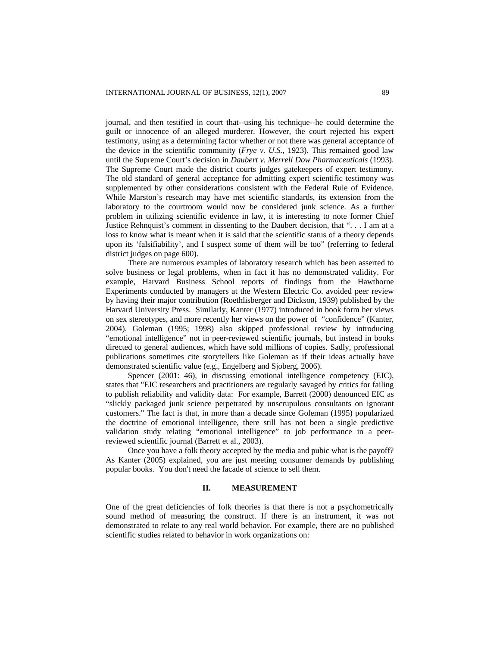journal, and then testified in court that--using his technique--he could determine the guilt or innocence of an alleged murderer. However, the court rejected his expert testimony, using as a determining factor whether or not there was general acceptance of the device in the scientific community (*Frye v. U.S.*, 1923). This remained good law until the Supreme Court's decision in *Daubert v. Merrell Dow Pharmaceuticals* (1993). The Supreme Court made the district courts judges gatekeepers of expert testimony. The old standard of general acceptance for admitting expert scientific testimony was supplemented by other considerations consistent with the Federal Rule of Evidence. While Marston's research may have met scientific standards, its extension from the laboratory to the courtroom would now be considered junk science. As a further problem in utilizing scientific evidence in law, it is interesting to note former Chief Justice Rehnquist's comment in dissenting to the Daubert decision, that ". . . I am at a loss to know what is meant when it is said that the scientific status of a theory depends upon its 'falsifiability', and I suspect some of them will be too" (referring to federal district judges on page 600).

There are numerous examples of laboratory research which has been asserted to solve business or legal problems, when in fact it has no demonstrated validity. For example, Harvard Business School reports of findings from the Hawthorne Experiments conducted by managers at the Western Electric Co. avoided peer review by having their major contribution (Roethlisberger and Dickson, 1939) published by the Harvard University Press. Similarly, Kanter (1977) introduced in book form her views on sex stereotypes, and more recently her views on the power of "confidence" (Kanter, 2004). Goleman (1995; 1998) also skipped professional review by introducing "emotional intelligence" not in peer-reviewed scientific journals, but instead in books directed to general audiences, which have sold millions of copies. Sadly, professional publications sometimes cite storytellers like Goleman as if their ideas actually have demonstrated scientific value (e.g., Engelberg and Sjoberg, 2006).

Spencer (2001: 46), in discussing emotional intelligence competency (EIC), states that "EIC researchers and practitioners are regularly savaged by critics for failing to publish reliability and validity data: For example, Barrett (2000) denounced EIC as "slickly packaged junk science perpetrated by unscrupulous consultants on ignorant customers." The fact is that, in more than a decade since Goleman (1995) popularized the doctrine of emotional intelligence, there still has not been a single predictive validation study relating "emotional intelligence" to job performance in a peerreviewed scientific journal (Barrett et al., 2003).

Once you have a folk theory accepted by the media and pubic what is the payoff? As Kanter (2005) explained, you are just meeting consumer demands by publishing popular books. You don't need the facade of science to sell them.

#### **II. MEASUREMENT**

One of the great deficiencies of folk theories is that there is not a psychometrically sound method of measuring the construct. If there is an instrument, it was not demonstrated to relate to any real world behavior. For example, there are no published scientific studies related to behavior in work organizations on: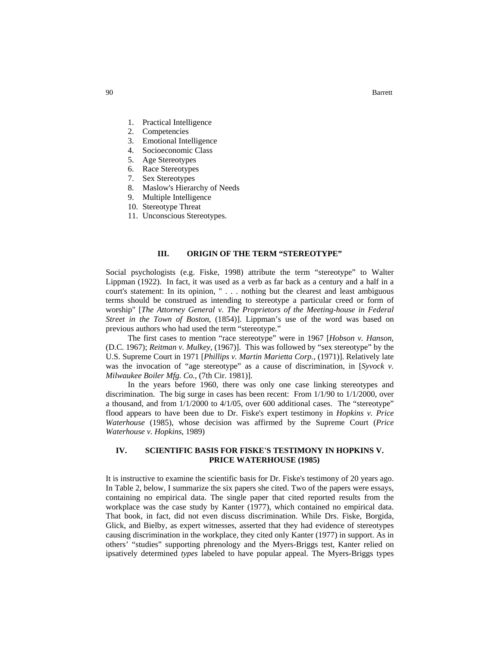- 1. Practical Intelligence
- 2. Competencies
- 3. Emotional Intelligence
- 4. Socioeconomic Class
- 5. Age Stereotypes
- 6. Race Stereotypes
- 7. Sex Stereotypes
- 8. Maslow's Hierarchy of Needs
- 9. Multiple Intelligence
- 10. Stereotype Threat
- 11. Unconscious Stereotypes.

#### **III. ORIGIN OF THE TERM "STEREOTYPE"**

Social psychologists (e.g. Fiske, 1998) attribute the term "stereotype" to Walter Lippman (1922). In fact, it was used as a verb as far back as a century and a half in a court's statement: In its opinion, " . . . nothing but the clearest and least ambiguous terms should be construed as intending to stereotype a particular creed or form of worship" [*The Attorney General v. The Proprietors of the Meeting-house in Federal Street in the Town of Boston*, (1854)]. Lippman's use of the word was based on previous authors who had used the term "stereotype."

The first cases to mention "race stereotype" were in 1967 [*Hobson v. Hanson*, (D.C. 1967); *Reitman v. Mulkey*, (1967)]. This was followed by "sex stereotype" by the U.S. Supreme Court in 1971 [*Phillips v. Martin Marietta Corp.*, (1971)]. Relatively late was the invocation of "age stereotype" as a cause of discrimination, in [*Syvock v. Milwaukee Boiler Mfg. Co.*, (7th Cir. 1981)].

In the years before 1960, there was only one case linking stereotypes and discrimination. The big surge in cases has been recent: From 1/1/90 to 1/1/2000, over a thousand, and from 1/1/2000 to 4/1/05, over 600 additional cases. The "stereotype" flood appears to have been due to Dr. Fiske's expert testimony in *Hopkins v. Price Waterhouse* (1985), whose decision was affirmed by the Supreme Court (*Price Waterhouse v. Hopkins*, 1989)

#### **IV. SCIENTIFIC BASIS FOR FISKE'S TESTIMONY IN HOPKINS V. PRICE WATERHOUSE (1985)**

It is instructive to examine the scientific basis for Dr. Fiske's testimony of 20 years ago. In Table 2, below, I summarize the six papers she cited. Two of the papers were essays, containing no empirical data. The single paper that cited reported results from the workplace was the case study by Kanter (1977), which contained no empirical data. That book, in fact, did not even discuss discrimination. While Drs. Fiske, Borgida, Glick, and Bielby, as expert witnesses, asserted that they had evidence of stereotypes causing discrimination in the workplace, they cited only Kanter (1977) in support. As in others' "studies" supporting phrenology and the Myers-Briggs test, Kanter relied on ipsatively determined *types* labeled to have popular appeal. The Myers-Briggs types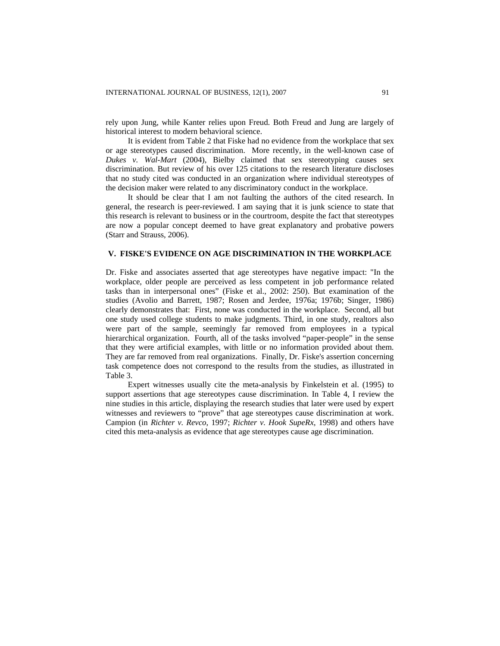rely upon Jung, while Kanter relies upon Freud. Both Freud and Jung are largely of historical interest to modern behavioral science.

It is evident from Table 2 that Fiske had no evidence from the workplace that sex or age stereotypes caused discrimination. More recently, in the well-known case of *Dukes v. Wal-Mart* (2004), Bielby claimed that sex stereotyping causes sex discrimination. But review of his over 125 citations to the research literature discloses that no study cited was conducted in an organization where individual stereotypes of the decision maker were related to any discriminatory conduct in the workplace.

It should be clear that I am not faulting the authors of the cited research. In general, the research is peer-reviewed. I am saying that it is junk science to state that this research is relevant to business or in the courtroom, despite the fact that stereotypes are now a popular concept deemed to have great explanatory and probative powers (Starr and Strauss, 2006).

#### **V. FISKE'S EVIDENCE ON AGE DISCRIMINATION IN THE WORKPLACE**

Dr. Fiske and associates asserted that age stereotypes have negative impact: "In the workplace, older people are perceived as less competent in job performance related tasks than in interpersonal ones" (Fiske et al., 2002: 250). But examination of the studies (Avolio and Barrett, 1987; Rosen and Jerdee, 1976a; 1976b; Singer, 1986) clearly demonstrates that: First, none was conducted in the workplace. Second, all but one study used college students to make judgments. Third, in one study, realtors also were part of the sample, seemingly far removed from employees in a typical hierarchical organization. Fourth, all of the tasks involved "paper-people" in the sense that they were artificial examples, with little or no information provided about them. They are far removed from real organizations. Finally, Dr. Fiske's assertion concerning task competence does not correspond to the results from the studies, as illustrated in Table 3.

Expert witnesses usually cite the meta-analysis by Finkelstein et al. (1995) to support assertions that age stereotypes cause discrimination. In Table 4, I review the nine studies in this article, displaying the research studies that later were used by expert witnesses and reviewers to "prove" that age stereotypes cause discrimination at work. Campion (in *Richter v. Revco*, 1997; *Richter v. Hook SupeRx*, 1998) and others have cited this meta-analysis as evidence that age stereotypes cause age discrimination.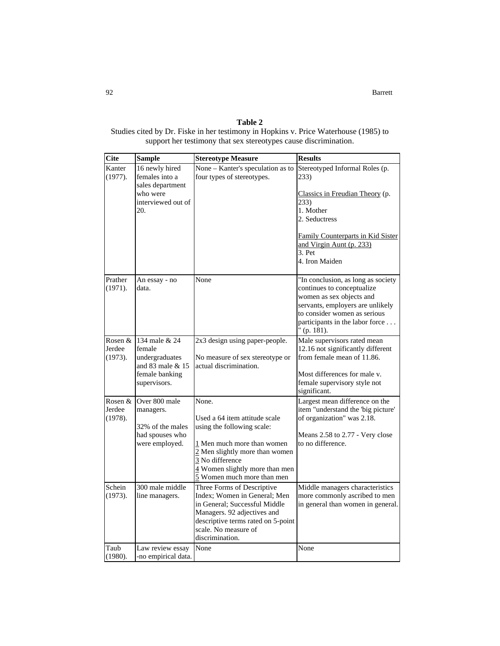## **Table 2**

Studies cited by Dr. Fiske in her testimony in Hopkins v. Price Waterhouse (1985) to support her testimony that sex stereotypes cause discrimination.

| <b>Cite</b>                    | <b>Sample</b>                                                                                   | <b>Stereotype Measure</b>                                                                                                                                                                                               | <b>Results</b>                                                                                                                                                                                                     |
|--------------------------------|-------------------------------------------------------------------------------------------------|-------------------------------------------------------------------------------------------------------------------------------------------------------------------------------------------------------------------------|--------------------------------------------------------------------------------------------------------------------------------------------------------------------------------------------------------------------|
| Kanter<br>(1977).              | 16 newly hired<br>females into a<br>sales department<br>who were<br>interviewed out of<br>20.   | None - Kanter's speculation as to<br>four types of stereotypes.                                                                                                                                                         | Stereotyped Informal Roles (p.<br>233)<br>Classics in Freudian Theory (p.<br>233)<br>1. Mother<br>2. Seductress<br>Family Counterparts in Kid Sister<br>and Virgin Aunt (p. 233)<br>3. Pet<br>4. Iron Maiden       |
| Prather<br>$(1971)$ .          | An essay - no<br>data.                                                                          | None                                                                                                                                                                                                                    | "In conclusion, as long as society<br>continues to conceptualize<br>women as sex objects and<br>servants, employers are unlikely<br>to consider women as serious<br>participants in the labor force<br>" (p. 181). |
| Rosen $&$<br>Jerdee<br>(1973). | 134 male & 24<br>female<br>undergraduates<br>and 83 male & 15<br>female banking<br>supervisors. | 2x3 design using paper-people.<br>No measure of sex stereotype or<br>actual discrimination.                                                                                                                             | Male supervisors rated mean<br>12.16 not significantly different<br>from female mean of 11.86.<br>Most differences for male v.<br>female supervisory style not<br>significant.                                     |
| Rosen &<br>Jerdee<br>(1978).   | Over 800 male<br>managers.<br>32% of the males<br>had spouses who<br>were employed.             | None.<br>Used a 64 item attitude scale<br>using the following scale:<br>1 Men much more than women<br>2 Men slightly more than women<br>3 No difference<br>4 Women slightly more than men<br>5 Women much more than men | Largest mean difference on the<br>item "understand the 'big picture'<br>of organization" was 2.18.<br>Means 2.58 to 2.77 - Very close<br>to no difference.                                                         |
| Schein<br>(1973).              | 300 male middle<br>line managers.                                                               | Three Forms of Descriptive<br>Index; Women in General; Men<br>in General; Successful Middle<br>Managers. 92 adjectives and<br>descriptive terms rated on 5-point<br>scale. No measure of<br>discrimination.             | Middle managers characteristics<br>more commonly ascribed to men<br>in general than women in general.                                                                                                              |
| Taub<br>(1980).                | Law review essay<br>-no empirical data.                                                         | None                                                                                                                                                                                                                    | None                                                                                                                                                                                                               |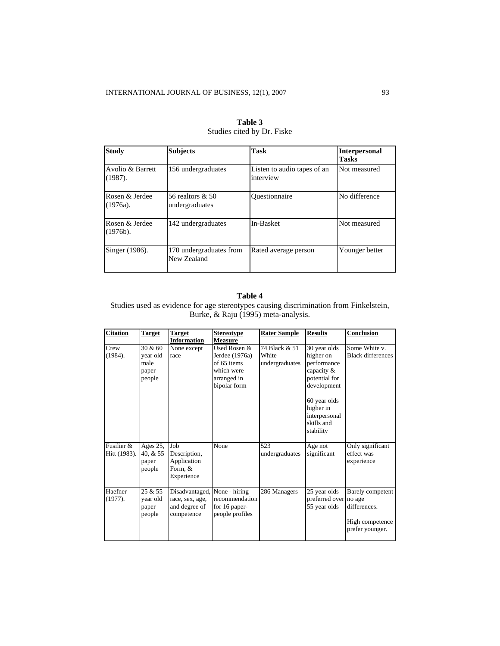| <b>Study</b>                   | <b>Subjects</b>                        | <b>Task</b>                              | <b>Interpersonal</b><br><b>Tasks</b> |
|--------------------------------|----------------------------------------|------------------------------------------|--------------------------------------|
| Avolio & Barrett<br>$(1987)$ . | 156 undergraduates                     | Listen to audio tapes of an<br>interview | Not measured                         |
| Rosen & Jerdee<br>$(1976a)$ .  | 56 realtors $\&$ 50<br>undergraduates  | <b>Ouestionnaire</b>                     | No difference                        |
| Rosen & Jerdee<br>(1976b).     | 142 undergraduates                     | In-Basket                                | Not measured                         |
| Singer (1986).                 | 170 undergraduates from<br>New Zealand | Rated average person                     | Younger better                       |

# **Table 3**  Studies cited by Dr. Fiske

## **Table 4**

Studies used as evidence for age stereotypes causing discrimination from Finkelstein, Burke, & Raju (1995) meta-analysis.

| <b>Citation</b>            | <b>Target</b>                                  | <b>Target</b><br><b>Information</b>                              | <b>Stereotype</b><br><b>Measure</b>                                                        | <b>Rater Sample</b>                      | <b>Results</b>                                                                                                                                                  | <b>Conclusion</b>                                                      |
|----------------------------|------------------------------------------------|------------------------------------------------------------------|--------------------------------------------------------------------------------------------|------------------------------------------|-----------------------------------------------------------------------------------------------------------------------------------------------------------------|------------------------------------------------------------------------|
| Crew<br>$(1984)$ .         | 30 & 60<br>year old<br>male<br>paper<br>people | None except<br>race                                              | Used Rosen &<br>Jerdee (1976a)<br>of 65 items<br>which were<br>arranged in<br>bipolar form | 74 Black & 51<br>White<br>undergraduates | 30 year olds<br>higher on<br>performance<br>capacity &<br>potential for<br>development<br>60 year olds<br>higher in<br>interpersonal<br>skills and<br>stability | Some White v.<br><b>Black differences</b>                              |
| Fusilier &<br>Hitt (1983). | Ages 25,<br>40, & 55<br>paper<br>people        | Job<br>Description,<br>Application<br>Form, &<br>Experience      | None                                                                                       | 523<br>undergraduates                    | Age not<br>significant                                                                                                                                          | Only significant<br>effect was<br>experience                           |
| Haefner<br>$(1977)$ .      | 25 & 55<br>year old<br>paper<br>people         | Disadvantaged,<br>race, sex, age,<br>and degree of<br>competence | None - hiring<br>recommendation<br>for 16 paper-<br>people profiles                        | 286 Managers                             | 25 year olds<br>preferred over no age<br>55 year olds                                                                                                           | Barely competent<br>differences.<br>High competence<br>prefer younger. |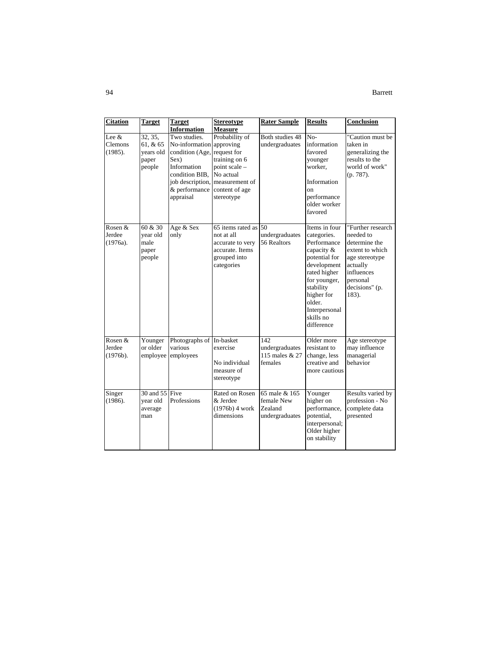| <b>Citation</b>                  | <b>Target</b>                                       | <b>Target</b><br><b>Information</b>                                                                                                            | <b>Stereotype</b><br><b>Measure</b>                                                                                              | <b>Rater Sample</b>                                      | <b>Results</b>                                                                                                                                                                                             | Conclusion                                                                                                                                            |
|----------------------------------|-----------------------------------------------------|------------------------------------------------------------------------------------------------------------------------------------------------|----------------------------------------------------------------------------------------------------------------------------------|----------------------------------------------------------|------------------------------------------------------------------------------------------------------------------------------------------------------------------------------------------------------------|-------------------------------------------------------------------------------------------------------------------------------------------------------|
| Lee $&$<br>Clemons<br>(1985).    | 32, 35,<br>61, & 65<br>years old<br>paper<br>people | Two studies.<br>No-information approving<br>condition (Age, request for<br>Sex)<br>Information<br>condition BIB.<br>& performance<br>appraisal | Probability of<br>training on 6<br>point scale -<br>No actual<br>job description, measurement of<br>content of age<br>stereotype | Both studies 48<br>undergraduates                        | $No-$<br>information<br>favored<br>younger<br>worker,<br>Information<br><sub>on</sub><br>performance<br>older worker<br>favored                                                                            | "Caution must be<br>taken in<br>generalizing the<br>results to the<br>world of work"<br>$(p. 787)$ .                                                  |
| Rosen &<br>Jerdee<br>$(1976a)$ . | 60 & 30<br>year old<br>male<br>paper<br>people      | Age & Sex<br>only                                                                                                                              | 65 items rated as 50<br>not at all<br>accurate to very<br>accurate. Items<br>grouped into<br>categories                          | undergraduates<br>56 Realtors                            | Items in four<br>categories.<br>Performance<br>capacity &<br>potential for<br>development<br>rated higher<br>for younger,<br>stability<br>higher for<br>older.<br>Interpersonal<br>skills no<br>difference | "Further research<br>needed to<br>determine the<br>extent to which<br>age stereotype<br>actually<br>influences<br>personal<br>decisions" (p.<br>183). |
| Rosen &<br>Jerdee<br>(1976b).    | Younger<br>or older<br>employee                     | Photographs of<br>various<br>employees                                                                                                         | In-basket<br>exercise<br>No individual<br>measure of<br>stereotype                                                               | 142<br>undergraduates<br>115 males & 27<br>females       | Older more<br>resistant to<br>change, less<br>creative and<br>more cautious                                                                                                                                | Age stereotype<br>may influence<br>managerial<br>behavior                                                                                             |
| Singer<br>(1986).                | 30 and $55$ Five<br>year old<br>average<br>man      | Professions                                                                                                                                    | Rated on Rosen<br>& Jerdee<br>(1976b) 4 work<br>dimensions                                                                       | 65 male & 165<br>female New<br>Zealand<br>undergraduates | Younger<br>higher on<br>performance,<br>potential.<br>interpersonal;<br>Older higher<br>on stability                                                                                                       | Results varied by<br>profession - No<br>complete data<br>presented                                                                                    |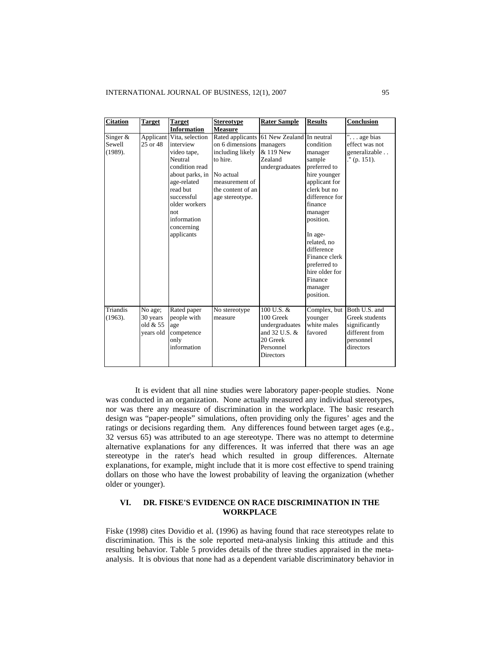| <b>Citation</b>                 | <b>Target</b>                                | <b>Target</b><br><b>Information</b>                                                                                                                                                                     | <b>Stereotype</b><br><b>Measure</b>                                                                                                        | <b>Rater Sample</b>                                                                                     | <b>Results</b>                                                                                                                                                                                                                                                                                   | Conclusion                                                                                   |
|---------------------------------|----------------------------------------------|---------------------------------------------------------------------------------------------------------------------------------------------------------------------------------------------------------|--------------------------------------------------------------------------------------------------------------------------------------------|---------------------------------------------------------------------------------------------------------|--------------------------------------------------------------------------------------------------------------------------------------------------------------------------------------------------------------------------------------------------------------------------------------------------|----------------------------------------------------------------------------------------------|
| Singer $&$<br>Sewell<br>(1989). | Applicant<br>25 or 48                        | Vita, selection<br>interview<br>video tape,<br>Neutral<br>condition read<br>about parks, in<br>age-related<br>read but<br>successful<br>older workers<br>not<br>information<br>concerning<br>applicants | Rated applicants<br>on 6 dimensions<br>including likely<br>to hire.<br>No actual<br>measurement of<br>the content of an<br>age stereotype. | 61 New Zealand<br>managers<br>& 119 New<br>Zealand<br>undergraduates                                    | In neutral<br>condition<br>manager<br>sample<br>preferred to<br>hire younger<br>applicant for<br>clerk but no<br>difference for<br>finance<br>manager<br>position.<br>In age-<br>related, no<br>difference<br>Finance clerk<br>preferred to<br>hire older for<br>Finance<br>manager<br>position. | " age bias<br>effect was not<br>generalizable<br>$\cdot$ " (p. 151).                         |
| Triandis<br>$(1963)$ .          | No age;<br>30 years<br>old & 55<br>years old | Rated paper<br>people with<br>age<br>competence<br>only<br>information                                                                                                                                  | No stereotype<br>measure                                                                                                                   | 100 U.S. &<br>100 Greek<br>undergraduates<br>and 32 U.S. &<br>20 Greek<br>Personnel<br><b>Directors</b> | Complex, but<br>younger<br>white males<br>favored                                                                                                                                                                                                                                                | Both U.S. and<br>Greek students<br>significantly<br>different from<br>personnel<br>directors |

It is evident that all nine studies were laboratory paper-people studies. None was conducted in an organization. None actually measured any individual stereotypes, nor was there any measure of discrimination in the workplace. The basic research design was "paper-people" simulations, often providing only the figures' ages and the ratings or decisions regarding them. Any differences found between target ages (e.g., 32 versus 65) was attributed to an age stereotype. There was no attempt to determine alternative explanations for any differences. It was inferred that there was an age stereotype in the rater's head which resulted in group differences. Alternate explanations, for example, might include that it is more cost effective to spend training dollars on those who have the lowest probability of leaving the organization (whether older or younger).

## **VI. DR. FISKE'S EVIDENCE ON RACE DISCRIMINATION IN THE WORKPLACE**

Fiske (1998) cites Dovidio et al. (1996) as having found that race stereotypes relate to discrimination. This is the sole reported meta-analysis linking this attitude and this resulting behavior. Table 5 provides details of the three studies appraised in the metaanalysis. It is obvious that none had as a dependent variable discriminatory behavior in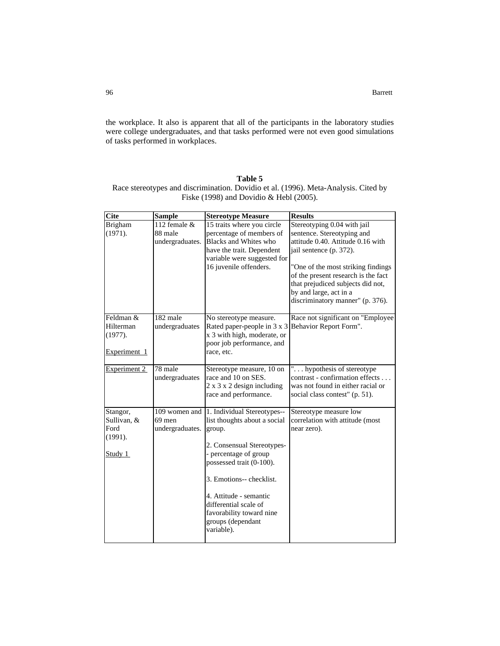the workplace. It also is apparent that all of the participants in the laboratory studies were college undergraduates, and that tasks performed were not even good simulations of tasks performed in workplaces.

## **Table 5**  Race stereotypes and discrimination. Dovidio et al. (1996). Meta-Analysis. Cited by Fiske (1998) and Dovidio & Hebl (2005).

| <b>Cite</b>                                           | <b>Sample</b>                              | <b>Stereotype Measure</b>                                                                                                                                              | <b>Results</b>                                                                                                                                                                                                                                                                                            |
|-------------------------------------------------------|--------------------------------------------|------------------------------------------------------------------------------------------------------------------------------------------------------------------------|-----------------------------------------------------------------------------------------------------------------------------------------------------------------------------------------------------------------------------------------------------------------------------------------------------------|
| Brigham<br>(1971).                                    | 112 female &<br>88 male<br>undergraduates. | 15 traits where you circle<br>percentage of members of<br>Blacks and Whites who<br>have the trait. Dependent<br>variable were suggested for<br>16 juvenile offenders.  | Stereotyping 0.04 with jail<br>sentence. Stereotyping and<br>attitude 0.40. Attitude 0.16 with<br>jail sentence (p. 372).<br>"One of the most striking findings<br>of the present research is the fact<br>that prejudiced subjects did not,<br>by and large, act in a<br>discriminatory manner" (p. 376). |
| Feldman &<br>Hilterman<br>(1977).<br>Experiment 1     | 182 male<br>undergraduates                 | No stereotype measure.<br>Rated paper-people in 3 x 3<br>x 3 with high, moderate, or<br>poor job performance, and<br>race, etc.                                        | Race not significant on "Employee<br>Behavior Report Form".                                                                                                                                                                                                                                               |
| Experiment 2                                          | 78 male<br>undergraduates                  | Stereotype measure, 10 on<br>race and 10 on SES.<br>$2 \times 3 \times 2$ design including<br>race and performance.                                                    | " hypothesis of stereotype<br>contrast - confirmation effects<br>was not found in either racial or<br>social class contest" (p. 51).                                                                                                                                                                      |
| Stangor,<br>Sullivan, &<br>Ford<br>(1991).<br>Study 1 | 69 men<br>undergraduates.                  | 109 women and 1. Individual Stereotypes--<br>list thoughts about a social<br>group.<br>2. Consensual Stereotypes-<br>- percentage of group                             | Stereotype measure low<br>correlation with attitude (most<br>near zero).                                                                                                                                                                                                                                  |
|                                                       |                                            | possessed trait (0-100).<br>3. Emotions-- checklist.<br>4. Attitude - semantic<br>differential scale of<br>favorability toward nine<br>groups (dependant<br>variable). |                                                                                                                                                                                                                                                                                                           |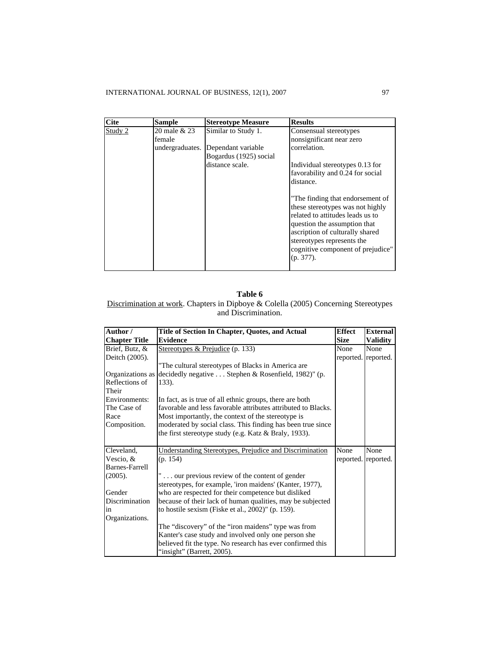| <b>Cite</b> | <b>Sample</b>   | <b>Stereotype Measure</b> | <b>Results</b>                    |
|-------------|-----------------|---------------------------|-----------------------------------|
| Study 2     | 20 male & 23    | Similar to Study 1.       | Consensual stereotypes            |
|             | female          |                           | nonsignificant near zero          |
|             | undergraduates. | Dependant variable        | correlation.                      |
|             |                 | Bogardus (1925) social    |                                   |
|             |                 | distance scale.           | Individual stereotypes 0.13 for   |
|             |                 |                           | favorability and 0.24 for social  |
|             |                 |                           | distance.                         |
|             |                 |                           |                                   |
|             |                 |                           | "The finding that endorsement of  |
|             |                 |                           | these stereotypes was not highly  |
|             |                 |                           | related to attitudes leads us to  |
|             |                 |                           | question the assumption that      |
|             |                 |                           | ascription of culturally shared   |
|             |                 |                           | stereotypes represents the        |
|             |                 |                           | cognitive component of prejudice" |
|             |                 |                           | $(p. 377)$ .                      |
|             |                 |                           |                                   |

## **Table 6**

Discrimination at work. Chapters in Dipboye & Colella (2005) Concerning Stereotypes and Discrimination.

| Author /             | Title of Section In Chapter, Quotes, and Actual               | <b>Effect</b> | <b>External</b>     |
|----------------------|---------------------------------------------------------------|---------------|---------------------|
| <b>Chapter Title</b> | <b>Evidence</b>                                               | <b>Size</b>   | <b>Validity</b>     |
| Brief, Butz, &       | Stereotypes & Prejudice (p. 133)                              | None          | None                |
| Deitch (2005).       |                                                               |               | reported. reported. |
|                      | "The cultural stereotypes of Blacks in America are            |               |                     |
| Organizations as     | decidedly negative Stephen & Rosenfield, 1982)" (p.           |               |                     |
| Reflections of       | 133).                                                         |               |                     |
| Their                |                                                               |               |                     |
| Environments:        | In fact, as is true of all ethnic groups, there are both      |               |                     |
| The Case of          | favorable and less favorable attributes attributed to Blacks. |               |                     |
| Race                 | Most importantly, the context of the stereotype is            |               |                     |
| Composition.         | moderated by social class. This finding has been true since   |               |                     |
|                      | the first stereotype study (e.g. Katz $&$ Braly, 1933).       |               |                     |
|                      |                                                               |               |                     |
| Cleveland,           | Understanding Stereotypes, Prejudice and Discrimination       | None          | None                |
| Vescio, &            | (p. 154)                                                      |               | reported. reported. |
| Barnes-Farrell       |                                                               |               |                     |
| (2005).              | " our previous review of the content of gender                |               |                     |
|                      | stereotypes, for example, 'iron maidens' (Kanter, 1977),      |               |                     |
| Gender               | who are respected for their competence but disliked           |               |                     |
| Discrimination       | because of their lack of human qualities, may be subjected    |               |                     |
| in                   | to hostile sexism (Fiske et al., $2002$ )" (p. 159).          |               |                     |
| Organizations.       |                                                               |               |                     |
|                      | The "discovery" of the "iron maidens" type was from           |               |                     |
|                      | Kanter's case study and involved only one person she          |               |                     |
|                      | believed fit the type. No research has ever confirmed this    |               |                     |
|                      | "insight" (Barrett, 2005).                                    |               |                     |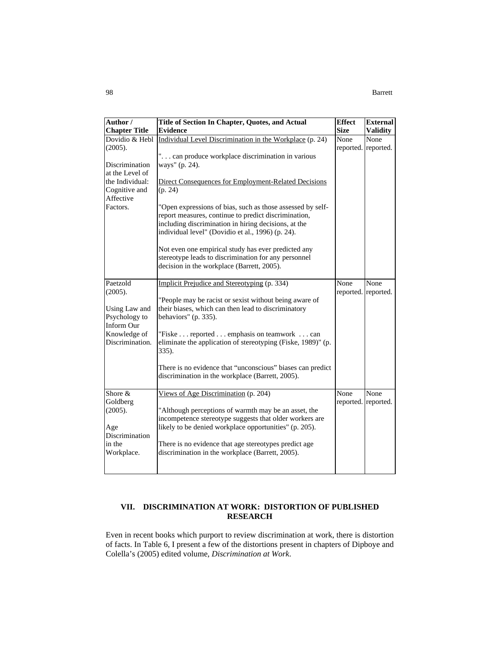| Author /             | Title of Section In Chapter, Quotes, and Actual              | <b>Effect</b> | <b>External</b>     |
|----------------------|--------------------------------------------------------------|---------------|---------------------|
| <b>Chapter Title</b> | <b>Evidence</b>                                              | <b>Size</b>   | <b>Validity</b>     |
| Dovidio & Hebl       | Individual Level Discrimination in the Workplace (p. 24)     | None          | None                |
| (2005).              |                                                              |               | reported. reported. |
|                      | " can produce workplace discrimination in various            |               |                     |
| Discrimination       | ways" (p. 24).                                               |               |                     |
| at the Level of      |                                                              |               |                     |
| the Individual:      | <b>Direct Consequences for Employment-Related Decisions</b>  |               |                     |
| Cognitive and        | (p. 24)                                                      |               |                     |
| Affective            |                                                              |               |                     |
| Factors.             | "Open expressions of bias, such as those assessed by self-   |               |                     |
|                      | report measures, continue to predict discrimination,         |               |                     |
|                      | including discrimination in hiring decisions, at the         |               |                     |
|                      | individual level" (Dovidio et al., 1996) (p. 24).            |               |                     |
|                      |                                                              |               |                     |
|                      | Not even one empirical study has ever predicted any          |               |                     |
|                      | stereotype leads to discrimination for any personnel         |               |                     |
|                      | decision in the workplace (Barrett, 2005).                   |               |                     |
|                      |                                                              |               |                     |
| Paetzold             | Implicit Prejudice and Stereotyping (p. 334)                 | None          | None                |
| (2005).              |                                                              |               | reported. reported. |
|                      | "People may be racist or sexist without being aware of       |               |                     |
| Using Law and        | their biases, which can then lead to discriminatory          |               |                     |
| Psychology to        | behaviors" (p. 335).                                         |               |                     |
| Inform Our           |                                                              |               |                     |
| Knowledge of         | "Fiske reported emphasis on teamwork can                     |               |                     |
| Discrimination.      | eliminate the application of stereotyping (Fiske, 1989)" (p. |               |                     |
|                      | 335).                                                        |               |                     |
|                      |                                                              |               |                     |
|                      | There is no evidence that "unconscious" biases can predict   |               |                     |
|                      | discrimination in the workplace (Barrett, 2005).             |               |                     |
|                      |                                                              |               |                     |
| Shore &              | Views of Age Discrimination (p. 204)                         | None          | None                |
| Goldberg             |                                                              |               | reported. reported. |
| (2005).              | "Although perceptions of warmth may be an asset, the         |               |                     |
|                      | incompetence stereotype suggests that older workers are      |               |                     |
| Age                  | likely to be denied workplace opportunities" (p. 205).       |               |                     |
| Discrimination       |                                                              |               |                     |
| in the               | There is no evidence that age stereotypes predict age        |               |                     |
| Workplace.           | discrimination in the workplace (Barrett, 2005).             |               |                     |
|                      |                                                              |               |                     |
|                      |                                                              |               |                     |
|                      |                                                              |               |                     |

## **VII. DISCRIMINATION AT WORK: DISTORTION OF PUBLISHED RESEARCH**

Even in recent books which purport to review discrimination at work, there is distortion of facts. In Table 6, I present a few of the distortions present in chapters of Dipboye and Colella's (2005) edited volume, *Discrimination at Work*.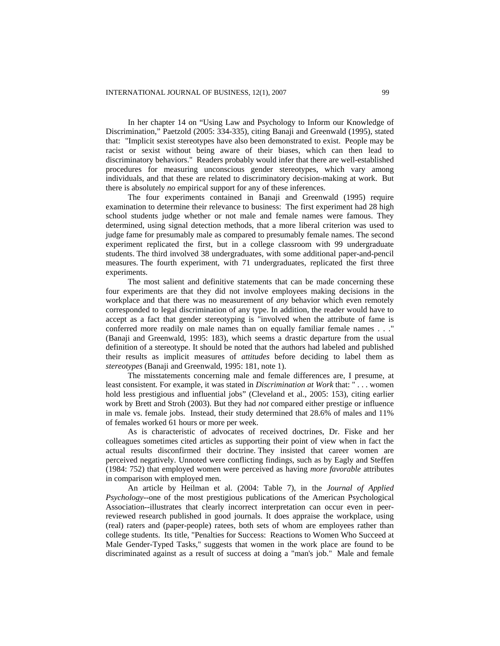In her chapter 14 on "Using Law and Psychology to Inform our Knowledge of Discrimination," Paetzold (2005: 334-335), citing Banaji and Greenwald (1995), stated that: "Implicit sexist stereotypes have also been demonstrated to exist. People may be racist or sexist without being aware of their biases, which can then lead to discriminatory behaviors." Readers probably would infer that there are well-established procedures for measuring unconscious gender stereotypes, which vary among individuals, and that these are related to discriminatory decision-making at work. But there is absolutely *no* empirical support for any of these inferences.

The four experiments contained in Banaji and Greenwald (1995) require examination to determine their relevance to business: The first experiment had 28 high school students judge whether or not male and female names were famous. They determined, using signal detection methods, that a more liberal criterion was used to judge fame for presumably male as compared to presumably female names. The second experiment replicated the first, but in a college classroom with 99 undergraduate students. The third involved 38 undergraduates, with some additional paper-and-pencil measures. The fourth experiment, with 71 undergraduates, replicated the first three experiments.

The most salient and definitive statements that can be made concerning these four experiments are that they did not involve employees making decisions in the workplace and that there was no measurement of *any* behavior which even remotely corresponded to legal discrimination of any type. In addition, the reader would have to accept as a fact that gender stereotyping is "involved when the attribute of fame is conferred more readily on male names than on equally familiar female names . . ." (Banaji and Greenwald, 1995: 183), which seems a drastic departure from the usual definition of a stereotype. It should be noted that the authors had labeled and published their results as implicit measures of *attitudes* before deciding to label them as *stereotypes* (Banaji and Greenwald, 1995: 181, note 1).

The misstatements concerning male and female differences are, I presume, at least consistent. For example, it was stated in *Discrimination at Work* that: " . . . women hold less prestigious and influential jobs" (Cleveland et al., 2005: 153), citing earlier work by Brett and Stroh (2003). But they had *not* compared either prestige or influence in male vs. female jobs. Instead, their study determined that 28.6% of males and 11% of females worked 61 hours or more per week.

As is characteristic of advocates of received doctrines, Dr. Fiske and her colleagues sometimes cited articles as supporting their point of view when in fact the actual results disconfirmed their doctrine. They insisted that career women are perceived negatively. Unnoted were conflicting findings, such as by Eagly and Steffen (1984: 752) that employed women were perceived as having *more favorable* attributes in comparison with employed men.

An article by Heilman et al. (2004: Table 7), in the *Journal of Applied Psychology*--one of the most prestigious publications of the American Psychological Association--illustrates that clearly incorrect interpretation can occur even in peerreviewed research published in good journals. It does appraise the workplace, using (real) raters and (paper-people) ratees, both sets of whom are employees rather than college students. Its title, "Penalties for Success: Reactions to Women Who Succeed at Male Gender-Typed Tasks," suggests that women in the work place are found to be discriminated against as a result of success at doing a "man's job." Male and female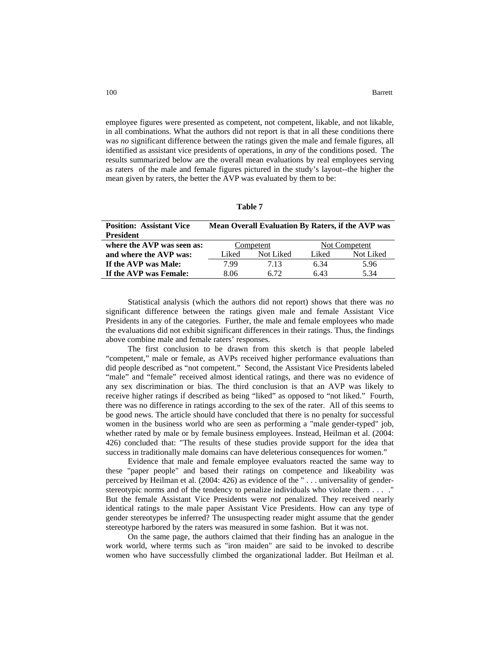employee figures were presented as competent, not competent, likable, and not likable, in all combinations. What the authors did not report is that in all these conditions there was *no* significant difference between the ratings given the male and female figures, all identified as assistant vice presidents of operations, in *any* of the conditions posed. The results summarized below are the overall mean evaluations by real employees serving as raters of the male and female figures pictured in the study's layout--the higher the mean given by raters, the better the AVP was evaluated by them to be:

| .,<br>۰.<br>۰.<br>×<br>۰, |
|---------------------------|
|---------------------------|

| <b>Position: Assistant Vice</b> | Mean Overall Evaluation By Raters, if the AVP was |           |               |           |
|---------------------------------|---------------------------------------------------|-----------|---------------|-----------|
| <b>President</b>                |                                                   |           |               |           |
| where the AVP was seen as:      | Competent                                         |           | Not Competent |           |
| and where the AVP was:          | Liked                                             | Not Liked | Liked         | Not Liked |
| If the AVP was Male:            | 7.99                                              | 7.13      | 6.34          | 5.96      |
| If the AVP was Female:          | 8.06                                              | 6.72      | 6.43          | 5.34      |

Statistical analysis (which the authors did not report) shows that there was *no* significant difference between the ratings given male and female Assistant Vice Presidents in any of the categories. Further, the male and female employees who made the evaluations did not exhibit significant differences in their ratings. Thus, the findings above combine male and female raters' responses.

The first conclusion to be drawn from this sketch is that people labeled "competent," male or female, as AVPs received higher performance evaluations than did people described as "not competent." Second, the Assistant Vice Presidents labeled "male" and "female" received almost identical ratings, and there was no evidence of any sex discrimination or bias. The third conclusion is that an AVP was likely to receive higher ratings if described as being "liked" as opposed to "not liked." Fourth, there was no difference in ratings according to the sex of the rater. All of this seems to be good news. The article should have concluded that there is no penalty for successful women in the business world who are seen as performing a "male gender-typed" job, whether rated by male or by female business employees. Instead, Heilman et al. (2004: 426) concluded that: "The results of these studies provide support for the idea that success in traditionally male domains can have deleterious consequences for women."

Evidence that male and female employee evaluators reacted the same way to these "paper people" and based their ratings on competence and likeability was perceived by Heilman et al. (2004: 426) as evidence of the " . . . universality of genderstereotypic norms and of the tendency to penalize individuals who violate them .... But the female Assistant Vice Presidents were *not* penalized. They received nearly identical ratings to the male paper Assistant Vice Presidents. How can any type of gender stereotypes be inferred? The unsuspecting reader might assume that the gender stereotype harbored by the raters was measured in some fashion. But it was not.

On the same page, the authors claimed that their finding has an analogue in the work world, where terms such as "iron maiden" are said to be invoked to describe women who have successfully climbed the organizational ladder. But Heilman et al.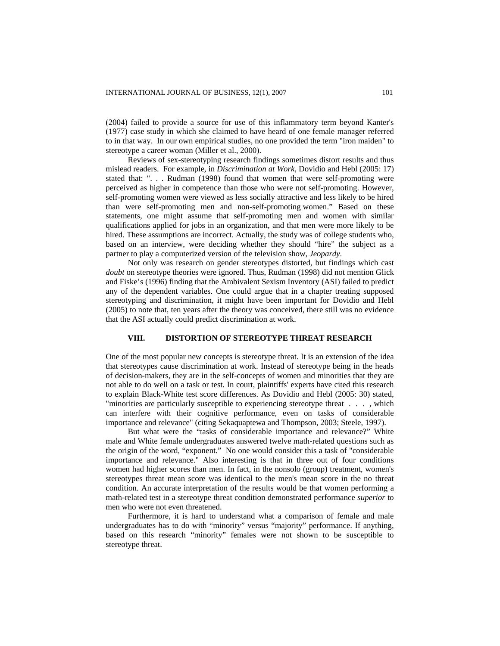(2004) failed to provide a source for use of this inflammatory term beyond Kanter's (1977) case study in which she claimed to have heard of one female manager referred to in that way. In our own empirical studies, no one provided the term "iron maiden" to stereotype a career woman (Miller et al., 2000).

Reviews of sex-stereotyping research findings sometimes distort results and thus mislead readers. For example, in *Discrimination at Work*, Dovidio and Hebl (2005: 17) stated that: ". . . Rudman (1998) found that women that were self-promoting were perceived as higher in competence than those who were not self-promoting. However, self-promoting women were viewed as less socially attractive and less likely to be hired than were self-promoting men and non-self-promoting women." Based on these statements, one might assume that self-promoting men and women with similar qualifications applied for jobs in an organization, and that men were more likely to be hired. These assumptions are incorrect. Actually, the study was of college students who, based on an interview, were deciding whether they should "hire" the subject as a partner to play a computerized version of the television show, *Jeopardy*.

Not only was research on gender stereotypes distorted, but findings which cast *doubt* on stereotype theories were ignored. Thus, Rudman (1998) did not mention Glick and Fiske's (1996) finding that the Ambivalent Sexism Inventory (ASI) failed to predict any of the dependent variables. One could argue that in a chapter treating supposed stereotyping and discrimination, it might have been important for Dovidio and Hebl (2005) to note that, ten years after the theory was conceived, there still was no evidence that the ASI actually could predict discrimination at work.

#### **VIII. DISTORTION OF STEREOTYPE THREAT RESEARCH**

One of the most popular new concepts is stereotype threat. It is an extension of the idea that stereotypes cause discrimination at work. Instead of stereotype being in the heads of decision-makers, they are in the self-concepts of women and minorities that they are not able to do well on a task or test. In court, plaintiffs' experts have cited this research to explain Black-White test score differences. As Dovidio and Hebl (2005: 30) stated, "minorities are particularly susceptible to experiencing stereotype threat . . . , which can interfere with their cognitive performance, even on tasks of considerable importance and relevance" (citing Sekaquaptewa and Thompson, 2003; Steele, 1997).

But what were the "tasks of considerable importance and relevance?" White male and White female undergraduates answered twelve math-related questions such as the origin of the word, "exponent." No one would consider this a task of "considerable importance and relevance." Also interesting is that in three out of four conditions women had higher scores than men. In fact, in the nonsolo (group) treatment, women's stereotypes threat mean score was identical to the men's mean score in the no threat condition. An accurate interpretation of the results would be that women performing a math-related test in a stereotype threat condition demonstrated performance *superior* to men who were not even threatened.

Furthermore, it is hard to understand what a comparison of female and male undergraduates has to do with "minority" versus "majority" performance. If anything, based on this research "minority" females were not shown to be susceptible to stereotype threat.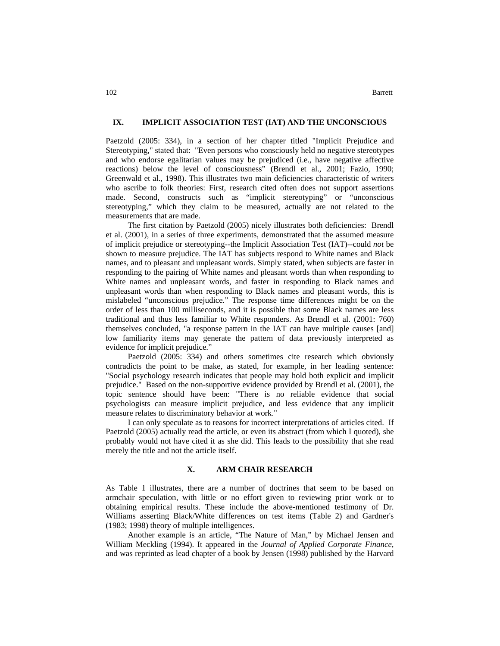## **IX. IMPLICIT ASSOCIATION TEST (IAT) AND THE UNCONSCIOUS**

Paetzold (2005: 334), in a section of her chapter titled "Implicit Prejudice and Stereotyping," stated that: "Even persons who consciously held no negative stereotypes and who endorse egalitarian values may be prejudiced (i.e., have negative affective reactions) below the level of consciousness" (Brendl et al., 2001; Fazio, 1990; Greenwald et al., 1998). This illustrates two main deficiencies characteristic of writers who ascribe to folk theories: First, research cited often does not support assertions made. Second, constructs such as "implicit stereotyping" or "unconscious stereotyping," which they claim to be measured, actually are not related to the measurements that are made.

The first citation by Paetzold (2005) nicely illustrates both deficiencies: Brendl et al. (2001), in a series of three experiments, demonstrated that the assumed measure of implicit prejudice or stereotyping--the Implicit Association Test (IAT)--could *not* be shown to measure prejudice. The IAT has subjects respond to White names and Black names, and to pleasant and unpleasant words. Simply stated, when subjects are faster in responding to the pairing of White names and pleasant words than when responding to White names and unpleasant words, and faster in responding to Black names and unpleasant words than when responding to Black names and pleasant words, this is mislabeled "unconscious prejudice." The response time differences might be on the order of less than 100 milliseconds, and it is possible that some Black names are less traditional and thus less familiar to White responders. As Brendl et al. (2001: 760) themselves concluded, "a response pattern in the IAT can have multiple causes [and] low familiarity items may generate the pattern of data previously interpreted as evidence for implicit prejudice."

Paetzold (2005: 334) and others sometimes cite research which obviously contradicts the point to be make, as stated, for example, in her leading sentence: "Social psychology research indicates that people may hold both explicit and implicit prejudice." Based on the non-supportive evidence provided by Brendl et al. (2001), the topic sentence should have been: "There is no reliable evidence that social psychologists can measure implicit prejudice, and less evidence that any implicit measure relates to discriminatory behavior at work."

I can only speculate as to reasons for incorrect interpretations of articles cited. If Paetzold (2005) actually read the article, or even its abstract (from which I quoted), she probably would not have cited it as she did. This leads to the possibility that she read merely the title and not the article itself.

#### **X. ARM CHAIR RESEARCH**

As Table 1 illustrates, there are a number of doctrines that seem to be based on armchair speculation, with little or no effort given to reviewing prior work or to obtaining empirical results. These include the above-mentioned testimony of Dr. Williams asserting Black/White differences on test items (Table 2) and Gardner's (1983; 1998) theory of multiple intelligences.

Another example is an article, "The Nature of Man," by Michael Jensen and William Meckling (1994). It appeared in the *Journal of Applied Corporate Finance*, and was reprinted as lead chapter of a book by Jensen (1998) published by the Harvard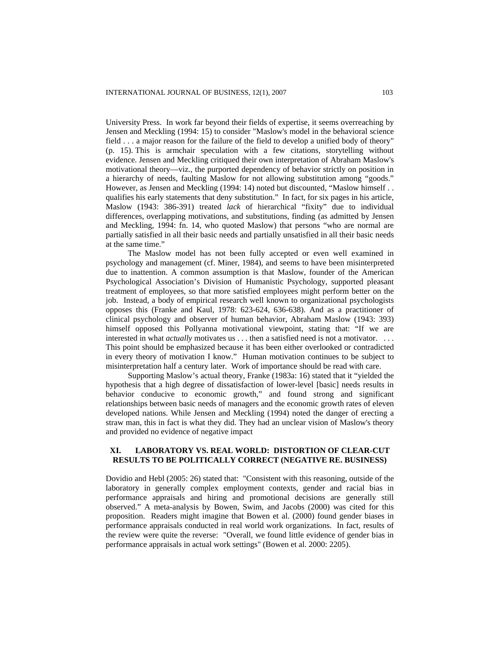University Press. In work far beyond their fields of expertise, it seems overreaching by Jensen and Meckling (1994: 15) to consider "Maslow's model in the behavioral science field . . . a major reason for the failure of the field to develop a unified body of theory" (p. 15). This is armchair speculation with a few citations, storytelling without evidence. Jensen and Meckling critiqued their own interpretation of Abraham Maslow's motivational theory—viz., the purported dependency of behavior strictly on position in a hierarchy of needs, faulting Maslow for not allowing substitution among "goods." However, as Jensen and Meckling (1994: 14) noted but discounted, "Maslow himself . . qualifies his early statements that deny substitution." In fact, for six pages in his article, Maslow (1943: 386-391) treated *lack* of hierarchical "fixity" due to individual differences, overlapping motivations, and substitutions, finding (as admitted by Jensen and Meckling, 1994: fn. 14, who quoted Maslow) that persons "who are normal are partially satisfied in all their basic needs and partially unsatisfied in all their basic needs at the same time."

The Maslow model has not been fully accepted or even well examined in psychology and management (cf. Miner, 1984), and seems to have been misinterpreted due to inattention. A common assumption is that Maslow, founder of the American Psychological Association's Division of Humanistic Psychology, supported pleasant treatment of employees, so that more satisfied employees might perform better on the job. Instead, a body of empirical research well known to organizational psychologists opposes this (Franke and Kaul, 1978: 623-624, 636-638). And as a practitioner of clinical psychology and observer of human behavior, Abraham Maslow (1943: 393) himself opposed this Pollyanna motivational viewpoint, stating that: "If we are interested in what *actually* motivates us . . . then a satisfied need is not a motivator. . . . This point should be emphasized because it has been either overlooked or contradicted in every theory of motivation I know." Human motivation continues to be subject to misinterpretation half a century later. Work of importance should be read with care.

Supporting Maslow's actual theory, Franke (1983a: 16) stated that it "yielded the hypothesis that a high degree of dissatisfaction of lower-level [basic] needs results in behavior conducive to economic growth," and found strong and significant relationships between basic needs of managers and the economic growth rates of eleven developed nations. While Jensen and Meckling (1994) noted the danger of erecting a straw man, this in fact is what they did. They had an unclear vision of Maslow's theory and provided no evidence of negative impact

#### **XI. LABORATORY VS. REAL WORLD: DISTORTION OF CLEAR-CUT RESULTS TO BE POLITICALLY CORRECT (NEGATIVE RE. BUSINESS)**

Dovidio and Hebl (2005: 26) stated that: "Consistent with this reasoning, outside of the laboratory in generally complex employment contexts, gender and racial bias in performance appraisals and hiring and promotional decisions are generally still observed." A meta-analysis by Bowen, Swim, and Jacobs (2000) was cited for this proposition. Readers might imagine that Bowen et al. (2000) found gender biases in performance appraisals conducted in real world work organizations. In fact, results of the review were quite the reverse: "Overall, we found little evidence of gender bias in performance appraisals in actual work settings" (Bowen et al. 2000: 2205).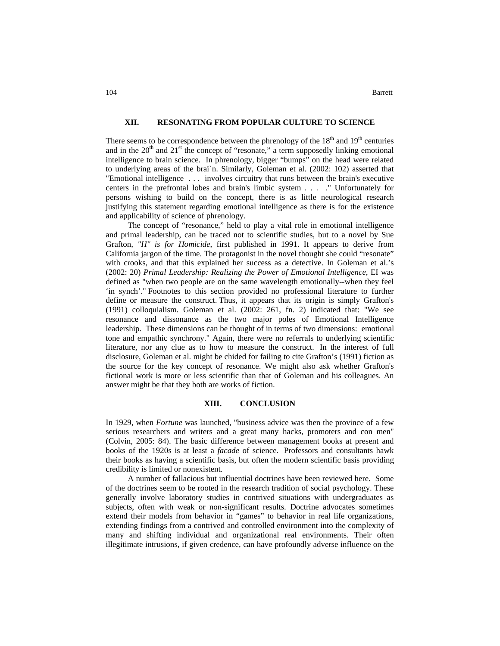### **XII. RESONATING FROM POPULAR CULTURE TO SCIENCE**

There seems to be correspondence between the phrenology of the  $18<sup>th</sup>$  and  $19<sup>th</sup>$  centuries and in the  $20<sup>th</sup>$  and  $21<sup>st</sup>$  the concept of "resonate," a term supposedly linking emotional intelligence to brain science. In phrenology, bigger "bumps" on the head were related to underlying areas of the brai`n. Similarly, Goleman et al. (2002: 102) asserted that "Emotional intelligence . . . involves circuitry that runs between the brain's executive centers in the prefrontal lobes and brain's limbic system . . . ." Unfortunately for persons wishing to build on the concept, there is as little neurological research justifying this statement regarding emotional intelligence as there is for the existence and applicability of science of phrenology.

The concept of "resonance," held to play a vital role in emotional intelligence and primal leadership, can be traced not to scientific studies, but to a novel by Sue Grafton, *"H" is for Homicide*, first published in 1991. It appears to derive from California jargon of the time. The protagonist in the novel thought she could "resonate" with crooks, and that this explained her success as a detective. In Goleman et al.'s (2002: 20) *Primal Leadership: Realizing the Power of Emotional Intelligence*, EI was defined as "when two people are on the same wavelength emotionally--when they feel 'in synch'." Footnotes to this section provided no professional literature to further define or measure the construct. Thus, it appears that its origin is simply Grafton's (1991) colloquialism. Goleman et al. (2002: 261, fn. 2) indicated that: "We see resonance and dissonance as the two major poles of Emotional Intelligence leadership. These dimensions can be thought of in terms of two dimensions: emotional tone and empathic synchrony." Again, there were no referrals to underlying scientific literature, nor any clue as to how to measure the construct. In the interest of full disclosure, Goleman et al. might be chided for failing to cite Grafton's (1991) fiction as the source for the key concept of resonance. We might also ask whether Grafton's fictional work is more or less scientific than that of Goleman and his colleagues. An answer might be that they both are works of fiction.

#### **XIII. CONCLUSION**

In 1929, when *Fortune* was launched, "business advice was then the province of a few serious researchers and writers and a great many hacks, promoters and con men" (Colvin, 2005: 84). The basic difference between management books at present and books of the 1920s is at least a *facade* of science. Professors and consultants hawk their books as having a scientific basis, but often the modern scientific basis providing credibility is limited or nonexistent.

A number of fallacious but influential doctrines have been reviewed here. Some of the doctrines seem to be rooted in the research tradition of social psychology. These generally involve laboratory studies in contrived situations with undergraduates as subjects, often with weak or non-significant results. Doctrine advocates sometimes extend their models from behavior in "games" to behavior in real life organizations, extending findings from a contrived and controlled environment into the complexity of many and shifting individual and organizational real environments. Their often illegitimate intrusions, if given credence, can have profoundly adverse influence on the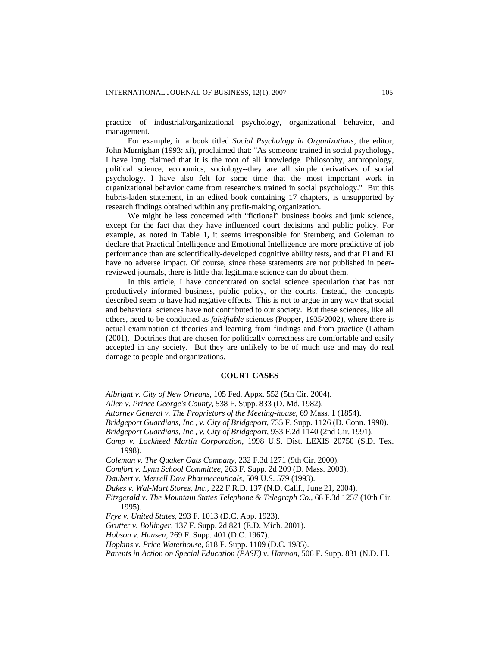practice of industrial/organizational psychology, organizational behavior, and management.

For example, in a book titled *Social Psychology in Organizations*, the editor, John Murnighan (1993: xi), proclaimed that: "As someone trained in social psychology, I have long claimed that it is the root of all knowledge. Philosophy, anthropology, political science, economics, sociology--they are all simple derivatives of social psychology. I have also felt for some time that the most important work in organizational behavior came from researchers trained in social psychology." But this hubris-laden statement, in an edited book containing 17 chapters, is unsupported by research findings obtained within any profit-making organization.

We might be less concerned with "fictional" business books and junk science, except for the fact that they have influenced court decisions and public policy. For example, as noted in Table 1, it seems irresponsible for Sternberg and Goleman to declare that Practical Intelligence and Emotional Intelligence are more predictive of job performance than are scientifically-developed cognitive ability tests, and that PI and EI have no adverse impact. Of course, since these statements are not published in peerreviewed journals, there is little that legitimate science can do about them.

In this article, I have concentrated on social science speculation that has not productively informed business, public policy, or the courts. Instead, the concepts described seem to have had negative effects. This is not to argue in any way that social and behavioral sciences have not contributed to our society. But these sciences, like all others, need to be conducted as *falsifiable* sciences (Popper, 1935/2002), where there is actual examination of theories and learning from findings and from practice (Latham (2001). Doctrines that are chosen for politically correctness are comfortable and easily accepted in any society. But they are unlikely to be of much use and may do real damage to people and organizations.

#### **COURT CASES**

*Albright v. City of New Orleans*, 105 Fed. Appx. 552 (5th Cir. 2004).

- *Allen v. Prince George's County*, 538 F. Supp. 833 (D. Md. 1982).
- *Attorney General v. The Proprietors of the Meeting-house*, 69 Mass. 1 (1854).
- *Bridgeport Guardians, Inc., v. City of Bridgeport*, 735 F. Supp. 1126 (D. Conn. 1990).
- *Bridgeport Guardians, Inc., v. City of Bridgeport*, 933 F.2d 1140 (2nd Cir. 1991).
- *Camp v. Lockheed Martin Corporation*, 1998 U.S. Dist. LEXIS 20750 (S.D. Tex. 1998).
- *Coleman v. The Quaker Oats Company*, 232 F.3d 1271 (9th Cir. 2000).
- *Comfort v. Lynn School Committee*, 263 F. Supp. 2d 209 (D. Mass. 2003).
- *Daubert v. Merrell Dow Pharmeceuticals,* 509 U.S. 579 (1993).
- *Dukes v. Wal-Mart Stores, Inc.,* 222 F.R.D. 137 (N.D. Calif., June 21, 2004).
- *Fitzgerald v. The Mountain States Telephone & Telegraph Co.*, 68 F.3d 1257 (10th Cir. 1995).
- *Frye v. United States*, 293 F. 1013 (D.C. App. 1923).
- *Grutter v. Bollinger*, 137 F. Supp. 2d 821 (E.D. Mich. 2001).
- *Hobson v. Hansen*, 269 F. Supp. 401 (D.C. 1967).
- *Hopkins v. Price Waterhouse,* 618 F. Supp. 1109 (D.C. 1985).
- *Parents in Action on Special Education (PASE) v. Hannon*, 506 F. Supp. 831 (N.D. Ill.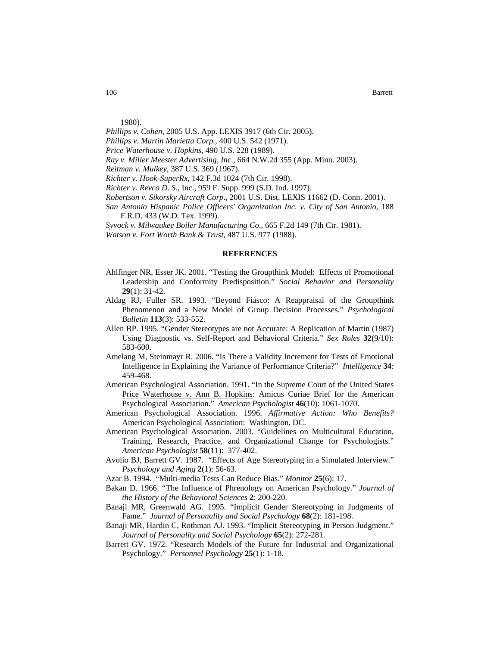1980).

*Phillips v. Cohen,* 2005 U.S. App. LEXIS 3917 (6th Cir. 2005).

*Phillips v. Martin Marietta Corp.*, 400 U.S. 542 (1971).

*Price Waterhouse v. Hopkins,* 490 U.S. 228 (1989).

*Ray v. Miller Meester Advertising, Inc*., 664 N.W.2d 355 (App. Minn. 2003).

*Reitman v. Mulkey*, 387 U.S. 369 (1967).

*Richter v. Hook-SuperRx*, 142 F.3d 1024 (7th Cir. 1998).

*Richter v. Revco D. S.*, Inc., 959 F. Supp. 999 (S.D. Ind. 1997).

*Robertson v. Sikorsky Aircraft Corp*., 2001 U.S. Dist. LEXIS 11662 (D. Conn. 2001).

*San Antonio Hispanic Police Officers' Organization Inc. v. City of San Antonio*, 188 F.R.D. 433 (W.D. Tex. 1999).

*Syvock v. Milwaukee Boiler Manufacturing Co.*, 665 F.2d 149 (7th Cir. 1981).

*Watson v. Fort Worth Bank & Trust*, 487 U.S. 977 (1988).

#### **REFERENCES**

- Ahlfinger NR, Esser JK. 2001. "Testing the Groupthink Model: Effects of Promotional Leadership and Conformity Predisposition." *Social Behavior and Personality*  **29**(1): 31-42.
- Aldag RJ, Fuller SR. 1993. "Beyond Fiasco: A Reappraisal of the Groupthink Phenomenon and a New Model of Group Decision Processes." *Psychological Bulletin* **113**(3): 533-552.
- Allen BP. 1995. "Gender Stereotypes are not Accurate: A Replication of Martin (1987) Using Diagnostic vs. Self-Report and Behavioral Criteria." *Sex Roles* **32**(9/10): 583-600.
- Amelang M, Steinmayr R. 2006. "Is There a Validity Increment for Tests of Emotional Intelligence in Explaining the Variance of Performance Criteria?" *Intelligence* **34**: 459-468.
- American Psychological Association. 1991. "In the Supreme Court of the United States Price Waterhouse v. Ann B. Hopkins: Amicus Curiae Brief for the American Psychological Association." *American Psychologist* **46**(10): 1061-1070.
- American Psychological Association. 1996. *Affirmative Action: Who Benefits?*  American Psychological Association: Washington, DC.
- American Psychological Association. 2003. "Guidelines on Multicultural Education, Training, Research, Practice, and Organizational Change for Psychologists." *American Psychologist* **58**(11): 377-402.
- Avolio BJ, Barrett GV. 1987. "Effects of Age Stereotyping in a Simulated Interview." *Psychology and Aging* **2**(1): 56-63.

Azar B. 1994. "Multi-media Tests Can Reduce Bias." *Monitor* **25**(6): 17.

- Bakan D. 1966. "The Influence of Phrenology on American Psychology." *Journal of the History of the Behavioral Sciences* **2**: 200-220.
- Banaji MR, Greenwald AG. 1995. "Implicit Gender Stereotyping in Judgments of Fame." *Journal of Personality and Social Psychology* **68**(2): 181-198.
- Banaji MR, Hardin C, Rothman AJ. 1993. "Implicit Stereotyping in Person Judgment." *Journal of Personality and Social Psychology* **65**(2): 272-281.
- Barrett GV. 1972. "Research Models of the Future for Industrial and Organizational Psychology." *Personnel Psychology* **25**(1): 1-18.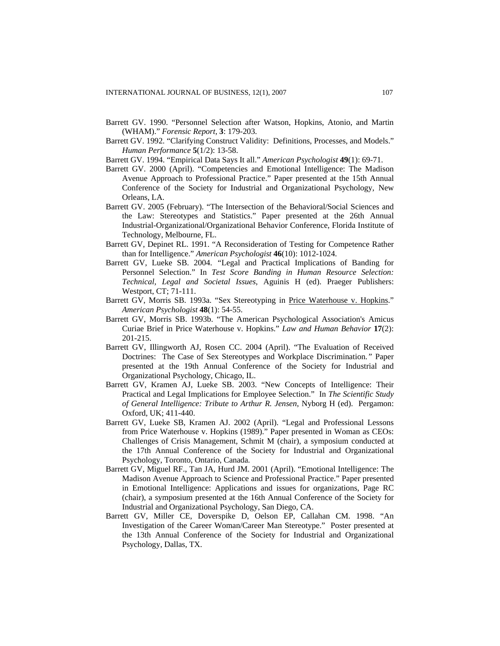- Barrett GV. 1990. "Personnel Selection after Watson, Hopkins, Atonio, and Martin (WHAM)." *Forensic Report,* **3**: 179-203.
- Barrett GV. 1992. "Clarifying Construct Validity: Definitions, Processes, and Models." *Human Performance* **5**(1/2): 13-58.
- Barrett GV. 1994. "Empirical Data Says It all." *American Psychologist* **49**(1): 69-71.
- Barrett GV. 2000 (April). "Competencies and Emotional Intelligence: The Madison Avenue Approach to Professional Practice." Paper presented at the 15th Annual Conference of the Society for Industrial and Organizational Psychology, New Orleans, LA.
- Barrett GV. 2005 (February). "The Intersection of the Behavioral/Social Sciences and the Law: Stereotypes and Statistics." Paper presented at the 26th Annual Industrial-Organizational/Organizational Behavior Conference, Florida Institute of Technology, Melbourne, FL.
- Barrett GV, Depinet RL. 1991. "A Reconsideration of Testing for Competence Rather than for Intelligence." *American Psychologist* **46**(10): 1012-1024.
- Barrett GV, Lueke SB. 2004. *"*Legal and Practical Implications of Banding for Personnel Selection." In *Test Score Banding in Human Resource Selection: Technical, Legal and Societal Issues*, Aguinis H (ed). Praeger Publishers: Westport, CT; 71-111.
- Barrett GV, Morris SB. 1993a. "Sex Stereotyping in Price Waterhouse v. Hopkins." *American Psychologist* **48**(1): 54-55.
- Barrett GV, Morris SB. 1993b. "The American Psychological Association's Amicus Curiae Brief in Price Waterhouse v. Hopkins." *Law and Human Behavior* **17**(2): 201-215.
- Barrett GV, Illingworth AJ, Rosen CC. 2004 (April). "The Evaluation of Received Doctrines: The Case of Sex Stereotypes and Workplace Discrimination*."* Paper presented at the 19th Annual Conference of the Society for Industrial and Organizational Psychology, Chicago, IL.
- Barrett GV, Kramen AJ, Lueke SB. 2003. "New Concepts of Intelligence: Their Practical and Legal Implications for Employee Selection." In *The Scientific Study of General Intelligence: Tribute to Arthur R. Jensen*, Nyborg H (ed). Pergamon: Oxford, UK; 411-440.
- Barrett GV, Lueke SB, Kramen AJ. 2002 (April). "Legal and Professional Lessons from Price Waterhouse v. Hopkins (1989)." Paper presented in Woman as CEOs: Challenges of Crisis Management, Schmit M (chair), a symposium conducted at the 17th Annual Conference of the Society for Industrial and Organizational Psychology, Toronto, Ontario, Canada*.*
- Barrett GV, Miguel RF., Tan JA, Hurd JM. 2001 (April). "Emotional Intelligence: The Madison Avenue Approach to Science and Professional Practice." Paper presented in Emotional Intelligence: Applications and issues for organizations, Page RC (chair), a symposium presented at the 16th Annual Conference of the Society for Industrial and Organizational Psychology, San Diego, CA.
- Barrett GV, Miller CE, Doverspike D, Oelson EP, Callahan CM. 1998. "An Investigation of the Career Woman/Career Man Stereotype." Poster presented at the 13th Annual Conference of the Society for Industrial and Organizational Psychology, Dallas, TX.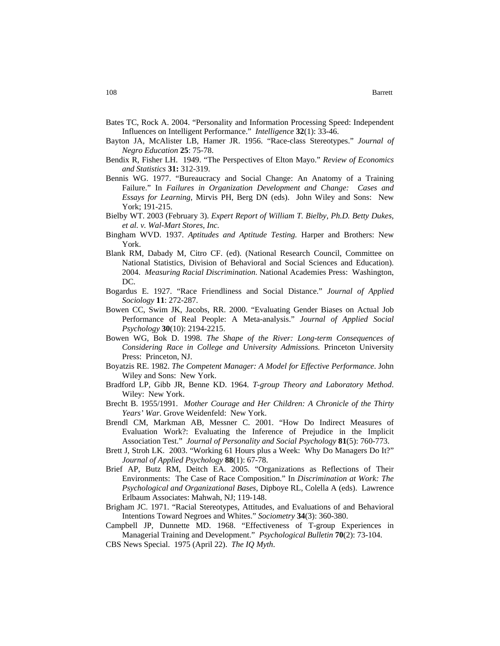- Bates TC, Rock A. 2004. "Personality and Information Processing Speed: Independent Influences on Intelligent Performance." *Intelligence* **32**(1): 33-46.
- Bayton JA, McAlister LB, Hamer JR. 1956. "Race-class Stereotypes." *Journal of Negro Education* **25**: 75-78.
- Bendix R, Fisher LH. 1949. "The Perspectives of Elton Mayo." *Review of Economics and Statistics* **31:** 312-319.
- Bennis WG. 1977. "Bureaucracy and Social Change: An Anatomy of a Training Failure." In *Failures in Organization Development and Change: Cases and Essays for Learning*, Mirvis PH, Berg DN (eds). John Wiley and Sons: New York; 191-215.
- Bielby WT. 2003 (February 3). *Expert Report of William T. Bielby, Ph.D. Betty Dukes, et al. v. Wal-Mart Stores, Inc.*
- Bingham WVD. 1937. *Aptitudes and Aptitude Testing.* Harper and Brothers: New York.
- Blank RM, Dabady M, Citro CF. (ed). (National Research Council, Committee on National Statistics, Division of Behavioral and Social Sciences and Education). 2004. *Measuring Racial Discrimination*. National Academies Press: Washington, DC.
- Bogardus E. 1927. "Race Friendliness and Social Distance." *Journal of Applied Sociology* **11**: 272-287.
- Bowen CC, Swim JK, Jacobs, RR. 2000. "Evaluating Gender Biases on Actual Job Performance of Real People: A Meta-analysis." *Journal of Applied Social Psychology* **30**(10): 2194-2215.
- Bowen WG, Bok D. 1998. *The Shape of the River: Long-term Consequences of Considering Race in College and University Admissions.* Princeton University Press: Princeton, NJ.
- Boyatzis RE. 1982. *The Competent Manager: A Model for Effective Performance*. John Wiley and Sons: New York.
- Bradford LP, Gibb JR, Benne KD. 1964. *T-group Theory and Laboratory Method*. Wiley: New York.
- Brecht B. 1955/1991. *Mother Courage and Her Children: A Chronicle of the Thirty Years' War*. Grove Weidenfeld: New York.
- Brendl CM, Markman AB, Messner C. 2001. "How Do Indirect Measures of Evaluation Work?: Evaluating the Inference of Prejudice in the Implicit Association Test." *Journal of Personality and Social Psychology* **81**(5): 760-773.
- Brett J, Stroh LK. 2003. "Working 61 Hours plus a Week: Why Do Managers Do It?" *Journal of Applied Psychology* **88**(1): 67-78.
- Brief AP, Butz RM, Deitch EA. 2005. "Organizations as Reflections of Their Environments: The Case of Race Composition." In *Discrimination at Work: The Psychological and Organizational Bases*, Dipboye RL, Colella A (eds). Lawrence Erlbaum Associates: Mahwah, NJ; 119-148.
- Brigham JC. 1971. "Racial Stereotypes, Attitudes, and Evaluations of and Behavioral Intentions Toward Negroes and Whites." *Sociometry* **34**(3): 360-380.
- Campbell JP, Dunnette MD. 1968. "Effectiveness of T-group Experiences in Managerial Training and Development." *Psychological Bulletin* **70**(2): 73-104.
- CBS News Special. 1975 (April 22). *The IQ Myth*.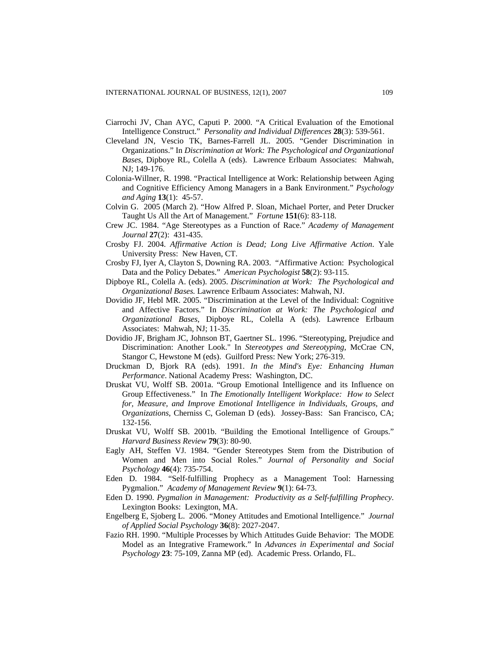- Ciarrochi JV, Chan AYC, Caputi P. 2000. "A Critical Evaluation of the Emotional Intelligence Construct." *Personality and Individual Differences* **28**(3): 539-561.
- Cleveland JN, Vescio TK, Barnes-Farrell JL. 2005. "Gender Discrimination in Organizations." In *Discrimination at Work: The Psychological and Organizational Bases*, Dipboye RL, Colella A (eds). Lawrence Erlbaum Associates: Mahwah, NJ; 149-176.
- Colonia-Willner, R. 1998. "Practical Intelligence at Work: Relationship between Aging and Cognitive Efficiency Among Managers in a Bank Environment." *Psychology and Aging* **13**(1): 45-57.
- Colvin G. 2005 (March 2). "How Alfred P. Sloan, Michael Porter, and Peter Drucker Taught Us All the Art of Management." *Fortune* **151**(6): 83-118.
- Crew JC. 1984. "Age Stereotypes as a Function of Race." *Academy of Management Journal* **27**(2): 431-435.
- Crosby FJ. 2004. *Affirmative Action is Dead; Long Live Affirmative Action*. Yale University Press: New Haven, CT.
- Crosby FJ, Iyer A, Clayton S, Downing RA. 2003. "Affirmative Action: Psychological Data and the Policy Debates." *American Psychologist* **58**(2): 93-115.
- Dipboye RL, Colella A. (eds). 2005. *Discrimination at Work: The Psychological and Organizational Bases.* Lawrence Erlbaum Associates: Mahwah, NJ.
- Dovidio JF, Hebl MR. 2005. "Discrimination at the Level of the Individual: Cognitive and Affective Factors." In *Discrimination at Work: The Psychological and Organizational Bases*, Dipboye RL, Colella A (eds). Lawrence Erlbaum Associates: Mahwah, NJ; 11-35.
- Dovidio JF, Brigham JC, Johnson BT, Gaertner SL. 1996. "Stereotyping, Prejudice and Discrimination: Another Look." In *Stereotypes and Stereotyping*, McCrae CN, Stangor C, Hewstone M (eds). Guilford Press: New York; 276-319.
- Druckman D, Bjork RA (eds). 1991. *In the Mind's Eye: Enhancing Human Performance*. National Academy Press: Washington, DC.
- Druskat VU, Wolff SB. 2001a. "Group Emotional Intelligence and its Influence on Group Effectiveness." In *The Emotionally Intelligent Workplace: How to Select for, Measure, and Improve Emotional Intelligence in Individuals, Groups, and* O*rganizations*, Cherniss C, Goleman D (eds). Jossey-Bass: San Francisco, CA; 132-156.
- Druskat VU, Wolff SB. 2001b. "Building the Emotional Intelligence of Groups." *Harvard Business Review* **79**(3): 80-90.
- Eagly AH, Steffen VJ. 1984. "Gender Stereotypes Stem from the Distribution of Women and Men into Social Roles." *Journal of Personality and Social Psychology* **46**(4): 735-754.
- Eden D. 1984. "Self-fulfilling Prophecy as a Management Tool: Harnessing Pygmalion." *Academy of Management Review* **9**(1): 64-73.
- Eden D. 1990. *Pygmalion in Management: Productivity as a Self-fulfilling Prophecy*. Lexington Books: Lexington, MA.
- Engelberg E, Sjoberg L. 2006. "Money Attitudes and Emotional Intelligence." *Journal of Applied Social Psychology* **36**(8): 2027-2047.
- Fazio RH. 1990. "Multiple Processes by Which Attitudes Guide Behavior: The MODE Model as an Integrative Framework." In *Advances in Experimental and Social Psychology* **23**: 75-109, Zanna MP (ed). Academic Press. Orlando, FL.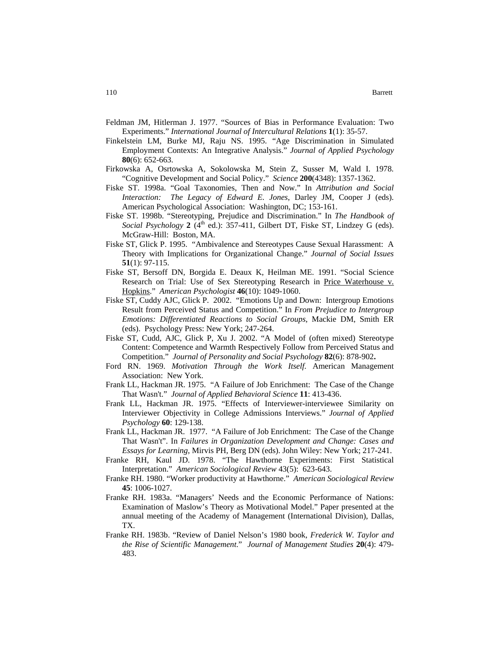- Feldman JM, Hitlerman J. 1977. "Sources of Bias in Performance Evaluation: Two Experiments." *International Journal of Intercultural Relations* **1**(1): 35-57.
- Finkelstein LM, Burke MJ, Raju NS. 1995. "Age Discrimination in Simulated Employment Contexts: An Integrative Analysis." *Journal of Applied Psychology*  **80**(6): 652-663.
- Firkowska A, Osrtowska A, Sokolowska M, Stein Z, Susser M, Wald I. 1978. "Cognitive Development and Social Policy." *Science* **200**(4348): 1357-1362.
- Fiske ST. 1998a. "Goal Taxonomies, Then and Now." In *Attribution and Social Interaction: The Legacy of Edward E. Jones*, Darley JM, Cooper J (eds). American Psychological Association: Washington, DC; 153-161.
- Fiske ST. 1998b. "Stereotyping, Prejudice and Discrimination." In *The Handbook of Social Psychology* **2** (4<sup>th</sup> ed.): 357-411, Gilbert DT, Fiske ST, Lindzey G (eds). McGraw-Hill: Boston, MA.
- Fiske ST, Glick P. 1995. "Ambivalence and Stereotypes Cause Sexual Harassment: A Theory with Implications for Organizational Change." *Journal of Social Issues*  **51**(1): 97-115.
- Fiske ST, Bersoff DN, Borgida E. Deaux K, Heilman ME. 1991. "Social Science Research on Trial: Use of Sex Stereotyping Research in Price Waterhouse v. Hopkins." *American Psychologist* **46**(10): 1049-1060.
- Fiske ST, Cuddy AJC, Glick P. 2002. "Emotions Up and Down: Intergroup Emotions Result from Perceived Status and Competition." In *From Prejudice to Intergroup Emotions: Differentiated Reactions to Social Groups*, Mackie DM, Smith ER (eds). Psychology Press: New York; 247-264.
- Fiske ST, Cudd, AJC, Glick P, Xu J. 2002. "A Model of (often mixed) Stereotype Content: Competence and Warmth Respectively Follow from Perceived Status and Competition." *Journal of Personality and Social Psychology* **82**(6): 878-902**.**
- Ford RN. 1969. *Motivation Through the Work Itself*. American Management Association: New York.
- Frank LL, Hackman JR. 1975. "A Failure of Job Enrichment: The Case of the Change That Wasn't." *Journal of Applied Behavioral Science* **11**: 413-436.
- Frank LL, Hackman JR. 1975. "Effects of Interviewer-interviewee Similarity on Interviewer Objectivity in College Admissions Interviews." *Journal of Applied Psychology* **60**: 129-138.
- Frank LL, Hackman JR. 1977. "A Failure of Job Enrichment: The Case of the Change That Wasn't". In *Failures in Organization Development and Change: Cases and Essays for Learning*, Mirvis PH, Berg DN (eds). John Wiley: New York; 217-241.
- Franke RH, Kaul JD. 1978. "The Hawthorne Experiments: First Statistical Interpretation." *American Sociological Review* 43(5): 623-643.
- Franke RH. 1980. "Worker productivity at Hawthorne." *American Sociological Review* **45**: 1006-1027.
- Franke RH. 1983a. "Managers' Needs and the Economic Performance of Nations: Examination of Maslow's Theory as Motivational Model." Paper presented at the annual meeting of the Academy of Management (International Division), Dallas, TX.
- Franke RH. 1983b. "Review of Daniel Nelson's 1980 book, *Frederick W. Taylor and the Rise of Scientific Management*." *Journal of Management Studies* **20**(4): 479- 483.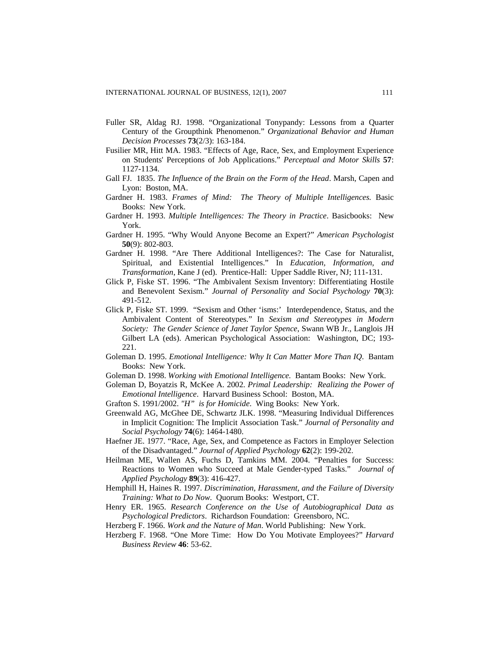- Fuller SR, Aldag RJ. 1998. "Organizational Tonypandy: Lessons from a Quarter Century of the Groupthink Phenomenon." *Organizational Behavior and Human Decision Processes* **73**(2/3): 163-184.
- Fusilier MR, Hitt MA. 1983. "Effects of Age, Race, Sex, and Employment Experience on Students' Perceptions of Job Applications." *Perceptual and Motor Skills* **57**: 1127-1134.
- Gall FJ. 1835. *The Influence of the Brain on the Form of the Head*. Marsh, Capen and Lyon: Boston, MA.
- Gardner H. 1983. *Frames of Mind: The Theory of Multiple Intelligences.* Basic Books: New York.
- Gardner H. 1993. *Multiple Intelligences: The Theory in Practice*. Basicbooks: New York.
- Gardner H. 1995. "Why Would Anyone Become an Expert?" *American Psychologist*  **50**(9): 802-803.
- Gardner H. 1998. "Are There Additional Intelligences?: The Case for Naturalist, Spiritual, and Existential Intelligences." In *Education, Information, and Transformation*, Kane J (ed). Prentice-Hall: Upper Saddle River, NJ; 111-131.
- Glick P, Fiske ST. 1996. "The Ambivalent Sexism Inventory: Differentiating Hostile and Benevolent Sexism." *Journal of Personality and Social Psychology* **70**(3): 491-512.
- Glick P, Fiske ST. 1999. "Sexism and Other 'isms:' Interdependence, Status, and the Ambivalent Content of Stereotypes." In *Sexism and Stereotypes in Modern Society: The Gender Science of Janet Taylor Spence*, Swann WB Jr., Langlois JH Gilbert LA (eds). American Psychological Association: Washington, DC; 193- 221.
- Goleman D. 1995. *Emotional Intelligence: Why It Can Matter More Than IQ*. Bantam Books: New York.
- Goleman D. 1998. *Working with Emotional Intelligence.* Bantam Books: New York.
- Goleman D, Boyatzis R, McKee A. 2002. *Primal Leadership: Realizing the Power of Emotional Intelligence*. Harvard Business School: Boston, MA.
- Grafton S. 1991/2002. *"H" is for Homicide*. Wing Books: New York.
- Greenwald AG, McGhee DE, Schwartz JLK. 1998. "Measuring Individual Differences in Implicit Cognition: The Implicit Association Task." *Journal of Personality and Social Psychology* **74**(6): 1464-1480.
- Haefner JE. 1977. "Race, Age, Sex, and Competence as Factors in Employer Selection of the Disadvantaged." *Journal of Applied Psychology* **62**(2): 199-202.
- Heilman ME, Wallen AS, Fuchs D, Tamkins MM. 2004. "Penalties for Success: Reactions to Women who Succeed at Male Gender-typed Tasks." *Journal of Applied Psychology* **89**(3): 416-427.
- Hemphill H, Haines R. 1997. *Discrimination, Harassment, and the Failure of Diversity Training: What to Do Now.* Quorum Books: Westport, CT.
- Henry ER. 1965. *Research Conference on the Use of Autobiographical Data as Psychological Predictors*. Richardson Foundation: Greensboro, NC.
- Herzberg F. 1966. *Work and the Nature of Man*. World Publishing: New York.
- Herzberg F. 1968. "One More Time: How Do You Motivate Employees?" *Harvard Business Review* **46**: 53-62.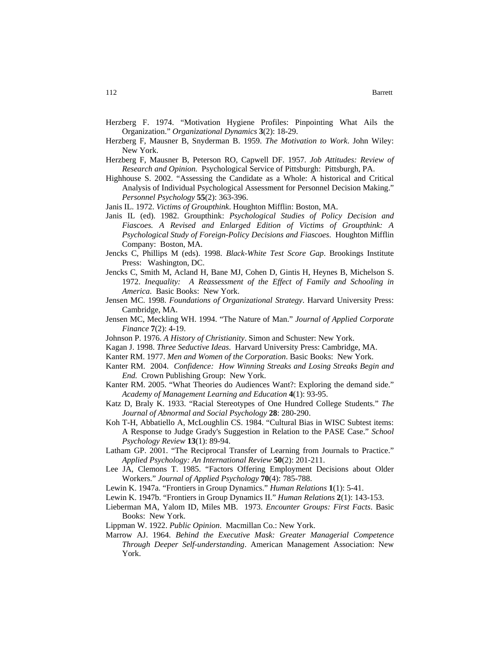- Herzberg F. 1974. "Motivation Hygiene Profiles: Pinpointing What Ails the Organization." *Organizational Dynamics* **3**(2): 18-29.
- Herzberg F, Mausner B, Snyderman B. 1959. *The Motivation to Work*. John Wiley: New York.
- Herzberg F, Mausner B, Peterson RO, Capwell DF. 1957. *Job Attitudes: Review of Research and Opinion.* Psychological Service of Pittsburgh: Pittsburgh, PA.
- Highhouse S. 2002. "Assessing the Candidate as a Whole: A historical and Critical Analysis of Individual Psychological Assessment for Personnel Decision Making." *Personnel Psychology* **55**(2): 363-396.
- Janis IL. 1972. *Victims of Groupthink*. Houghton Mifflin: Boston, MA.
- Janis IL (ed). 1982. Groupthink: *Psychological Studies of Policy Decision and Fiascoes. A Revised and Enlarged Edition of Victims of Groupthink: A Psychological Study of Foreign-Policy Decisions and Fiascoes*. Houghton Mifflin Company: Boston, MA.
- Jencks C, Phillips M (eds). 1998. *Black-White Test Score Gap*. Brookings Institute Press: Washington, DC.
- Jencks C, Smith M, Acland H, Bane MJ, Cohen D, Gintis H, Heynes B, Michelson S. 1972. *Inequality: A Reassessment of the Effect of Family and Schooling in America*. Basic Books: New York.
- Jensen MC. 1998. *Foundations of Organizational Strategy*. Harvard University Press: Cambridge, MA.
- Jensen MC, Meckling WH. 1994. "The Nature of Man." *Journal of Applied Corporate Finance* **7**(2): 4-19.
- Johnson P. 1976. *A History of Christianity*. Simon and Schuster: New York.
- Kagan J. 1998. *Three Seductive Ideas*. Harvard University Press: Cambridge, MA.
- Kanter RM. 1977. *Men and Women of the Corporation*. Basic Books: New York.
- Kanter RM. 2004. *Confidence: How Winning Streaks and Losing Streaks Begin and End.* Crown Publishing Group: New York.
- Kanter RM. 2005. "What Theories do Audiences Want?: Exploring the demand side." *Academy of Management Learning and Education* **4**(1): 93-95.
- Katz D, Braly K. 1933. "Racial Stereotypes of One Hundred College Students." *The Journal of Abnormal and Social Psychology* **28**: 280-290.
- Koh T-H, Abbatiello A, McLoughlin CS. 1984. "Cultural Bias in WISC Subtest items: A Response to Judge Grady's Suggestion in Relation to the PASE Case." *School Psychology Review* **13**(1): 89-94.
- Latham GP. 2001. "The Reciprocal Transfer of Learning from Journals to Practice." *Applied Psychology: An International Review* **50**(2): 201-211.
- Lee JA, Clemons T. 1985. "Factors Offering Employment Decisions about Older Workers." *Journal of Applied Psychology* **70**(4): 785-788.
- Lewin K. 1947a. "Frontiers in Group Dynamics." *Human Relations* **1**(1): 5-41.
- Lewin K. 1947b. "Frontiers in Group Dynamics II." *Human Relations* **2**(1): 143-153.
- Lieberman MA, Yalom ID, Miles MB. 1973. *Encounter Groups: First Facts*. Basic Books: New York.
- Lippman W. 1922. *Public Opinion*. Macmillan Co.: New York.
- Marrow AJ. 1964. *Behind the Executive Mask: Greater Managerial Competence Through Deeper Self-understanding*. American Management Association: New York.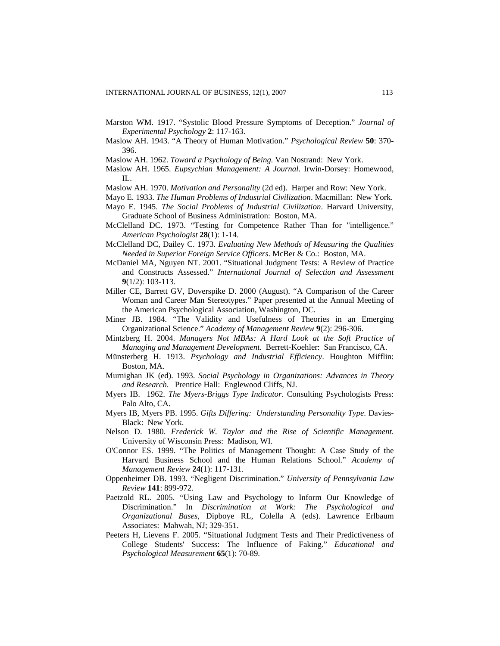- Marston WM. 1917. "Systolic Blood Pressure Symptoms of Deception." *Journal of Experimental Psychology* **2**: 117-163.
- Maslow AH. 1943. "A Theory of Human Motivation." *Psychological Review* **50**: 370- 396.
- Maslow AH. 1962. *Toward a Psychology of Being.* Van Nostrand: New York.
- Maslow AH. 1965. *Eupsychian Management: A Journal*. Irwin-Dorsey: Homewood, IL.
- Maslow AH. 1970. *Motivation and Personality* (2d ed). Harper and Row: New York.
- Mayo E. 1933. *The Human Problems of Industrial Civilization*. Macmillan: New York. Mayo E. 1945. *The Social Problems of Industrial Civilization*. Harvard University,
- Graduate School of Business Administration: Boston, MA. McClelland DC. 1973. "Testing for Competence Rather Than for "intelligence."
- *American Psychologist* **28**(1): 1-14.
- McClelland DC, Dailey C. 1973. *Evaluating New Methods of Measuring the Qualities Needed in Superior Foreign Service Officers*. McBer & Co.: Boston, MA.
- McDaniel MA, Nguyen NT. 2001. "Situational Judgment Tests: A Review of Practice and Constructs Assessed." *International Journal of Selection and Assessment*  **9**(1/2): 103-113.
- Miller CE, Barrett GV, Doverspike D. 2000 (August). "A Comparison of the Career Woman and Career Man Stereotypes." Paper presented at the Annual Meeting of the American Psychological Association, Washington, DC.
- Miner JB. 1984. "The Validity and Usefulness of Theories in an Emerging Organizational Science." *Academy of Management Review* **9**(2): 296-306.
- Mintzberg H. 2004. *Managers Not MBAs: A Hard Look at the Soft Practice of Managing and Management Development*. Berrett-Koehler: San Francisco, CA.
- Münsterberg H. 1913. *Psychology and Industrial Efficiency*. Houghton Mifflin: Boston, MA.
- Murnighan JK (ed). 1993. *Social Psychology in Organizations: Advances in Theory and Research*. Prentice Hall: Englewood Cliffs, NJ.
- Myers IB. 1962. *The Myers-Briggs Type Indicator*. Consulting Psychologists Press: Palo Alto, CA.
- Myers IB, Myers PB. 1995. *Gifts Differing: Understanding Personality Type*. Davies-Black: New York.
- Nelson D. 1980. *Frederick W. Taylor and the Rise of Scientific Management*. University of Wisconsin Press: Madison, WI.
- O'Connor ES. 1999. "The Politics of Management Thought: A Case Study of the Harvard Business School and the Human Relations School." *Academy of Management Review* **24**(1): 117-131.
- Oppenheimer DB. 1993. "Negligent Discrimination." *University of Pennsylvania Law Review* **141**: 899-972.
- Paetzold RL. 2005. "Using Law and Psychology to Inform Our Knowledge of Discrimination." In *Discrimination at Work: The Psychological and Organizational Bases*, Dipboye RL, Colella A (eds). Lawrence Erlbaum Associates: Mahwah, NJ; 329-351.
- Peeters H, Lievens F. 2005. "Situational Judgment Tests and Their Predictiveness of College Students' Success: The Influence of Faking." *Educational and Psychological Measurement* **65**(1): 70-89.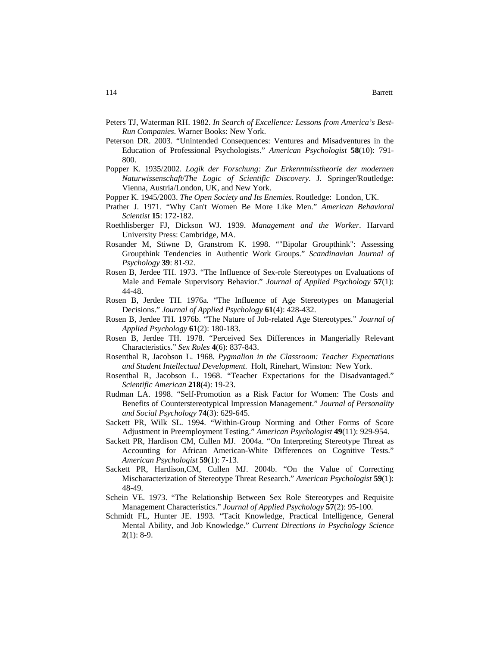- Peters TJ, Waterman RH. 1982. *In Search of Excellence: Lessons from America's Best-Run Companies*. Warner Books: New York.
- Peterson DR. 2003. "Unintended Consequences: Ventures and Misadventures in the Education of Professional Psychologists." *American Psychologist* **58**(10): 791- 800.
- Popper K. 1935/2002. *Logik der Forschung: Zur Erkenntnisstheorie der modernen Naturwissenschaft*/*The Logic of Scientific Discovery*. J. Springer/Routledge: Vienna, Austria/London, UK, and New York.
- Popper K. 1945/2003. *The Open Society and Its Enemies*. Routledge: London, UK.
- Prather J. 1971. "Why Can't Women Be More Like Men." *American Behavioral Scientist* **15**: 172-182.
- Roethlisberger FJ, Dickson WJ. 1939. *Management and the Worker*. Harvard University Press: Cambridge, MA.
- Rosander M, Stiwne D, Granstrom K. 1998. ""Bipolar Groupthink": Assessing Groupthink Tendencies in Authentic Work Groups." *Scandinavian Journal of Psychology* **39**: 81-92.
- Rosen B, Jerdee TH. 1973. "The Influence of Sex-role Stereotypes on Evaluations of Male and Female Supervisory Behavior." *Journal of Applied Psychology* **57**(1): 44-48.
- Rosen B, Jerdee TH. 1976a. "The Influence of Age Stereotypes on Managerial Decisions." *Journal of Applied Psychology* **61**(4): 428-432.
- Rosen B, Jerdee TH. 1976b. "The Nature of Job-related Age Stereotypes." *Journal of Applied Psychology* **61**(2): 180-183.
- Rosen B, Jerdee TH. 1978. "Perceived Sex Differences in Mangerially Relevant Characteristics." *Sex Roles* **4**(6): 837-843.
- Rosenthal R, Jacobson L. 1968. *Pygmalion in the Classroom: Teacher Expectations and Student Intellectual Development.* Holt, Rinehart, Winston: New York.
- Rosenthal R, Jacobson L. 1968. "Teacher Expectations for the Disadvantaged." *Scientific American* **218**(4): 19-23.
- Rudman LA. 1998. "Self-Promotion as a Risk Factor for Women: The Costs and Benefits of Counterstereotypical Impression Management." *Journal of Personality and Social Psychology* **74**(3): 629-645.
- Sackett PR, Wilk SL. 1994. "Within-Group Norming and Other Forms of Score Adjustment in Preemployment Testing." *American Psychologist* **49**(11): 929-954.
- Sackett PR, Hardison CM, Cullen MJ. 2004a. "On Interpreting Stereotype Threat as Accounting for African American-White Differences on Cognitive Tests." *American Psychologist* **59**(1): 7-13.
- Sackett PR, Hardison,CM, Cullen MJ. 2004b. "On the Value of Correcting Mischaracterization of Stereotype Threat Research." *American Psychologist* **59**(1): 48-49.
- Schein VE. 1973. "The Relationship Between Sex Role Stereotypes and Requisite Management Characteristics." *Journal of Applied Psychology* **57**(2): 95-100.
- Schmidt FL, Hunter JE. 1993. "Tacit Knowledge, Practical Intelligence, General Mental Ability, and Job Knowledge." *Current Directions in Psychology Science*  **2**(1): 8-9.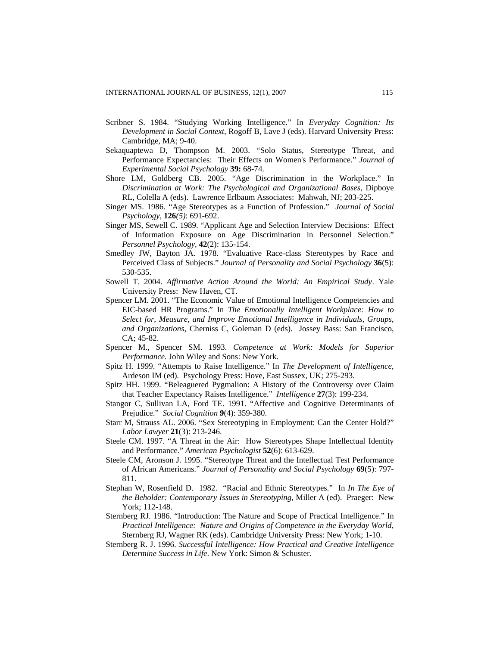- Scribner S. 1984. "Studying Working Intelligence." In *Everyday Cognition: Its Development in Social Context*, Rogoff B, Lave J (eds). Harvard University Press: Cambridge, MA; 9-40.
- Sekaquaptewa D, Thompson M. 2003. "Solo Status, Stereotype Threat, and Performance Expectancies: Their Effects on Women's Performance." *Journal of Experimental Social Psychology* **39:** 68-74.
- Shore LM, Goldberg CB. 2005. "Age Discrimination in the Workplace." In *Discrimination at Work: The Psychological and Organizational Bases*, Dipboye RL, Colella A (eds). Lawrence Erlbaum Associates: Mahwah, NJ; 203-225.
- Singer MS. 1986. "Age Stereotypes as a Function of Profession." *Journal of Social Psychology,* **126***(5)*: 691-692.
- Singer MS, Sewell C. 1989. "Applicant Age and Selection Interview Decisions: Effect of Information Exposure on Age Discrimination in Personnel Selection." *Personnel Psychology,* **42**(2): 135-154.
- Smedley JW, Bayton JA. 1978. "Evaluative Race-class Stereotypes by Race and Perceived Class of Subjects." *Journal of Personality and Social Psychology* **36**(5): 530-535.
- Sowell T. 2004. *Affirmative Action Around the World: An Empirical Study*. Yale University Press: New Haven, CT.
- Spencer LM. 2001. "The Economic Value of Emotional Intelligence Competencies and EIC-based HR Programs." In *The Emotionally Intelligent Workplace: How to Select for, Measure, and Improve Emotional Intelligence in Individuals, Groups, and Organizations*, Cherniss C, Goleman D (eds). Jossey Bass: San Francisco, CA; 45-82.
- Spencer M., Spencer SM. 1993. *Competence at Work: Models for Superior Performance.* John Wiley and Sons: New York.
- Spitz H. 1999. "Attempts to Raise Intelligence." In *The Development of Intelligence*, Ardeson IM (ed). Psychology Press: Hove, East Sussex, UK; 275-293.
- Spitz HH. 1999. "Beleaguered Pygmalion: A History of the Controversy over Claim that Teacher Expectancy Raises Intelligence." *Intelligence* **27**(3): 199-234.
- Stangor C, Sullivan LA, Ford TE. 1991. "Affective and Cognitive Determinants of Prejudice." *Social Cognition* **9**(4): 359-380.
- Starr M, Strauss AL. 2006. "Sex Stereotyping in Employment: Can the Center Hold?" *Labor Lawyer* **21**(3): 213-246.
- Steele CM. 1997. "A Threat in the Air: How Stereotypes Shape Intellectual Identity and Performance." *American Psychologist* **52**(6): 613-629.
- Steele CM, Aronson J. 1995. "Stereotype Threat and the Intellectual Test Performance of African Americans." *Journal of Personality and Social Psychology* **69**(5): 797- 811.
- Stephan W, Rosenfield D. 1982. "Racial and Ethnic Stereotypes." In *In The Eye of the Beholder: Contemporary Issues in Stereotyping*, Miller A (ed). Praeger: New York; 112-148.
- Sternberg RJ. 1986. "Introduction: The Nature and Scope of Practical Intelligence." In *Practical Intelligence: Nature and Origins of Competence in the Everyday World*, Sternberg RJ, Wagner RK (eds). Cambridge University Press: New York; 1-10.
- Sternberg R. J. 1996. *Successful Intelligence: How Practical and Creative Intelligence Determine Success in Life*. New York: Simon & Schuster.